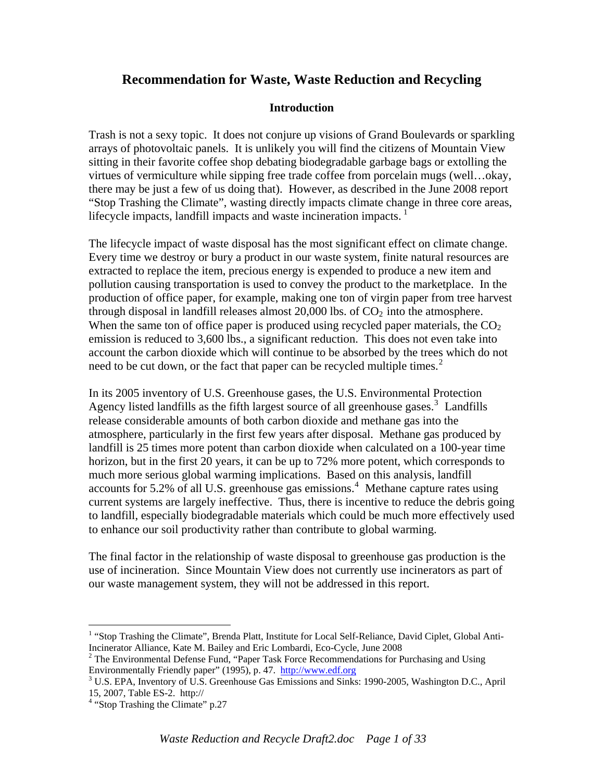## **Recommendation for Waste, Waste Reduction and Recycling**

#### **Introduction**

Trash is not a sexy topic. It does not conjure up visions of Grand Boulevards or sparkling arrays of photovoltaic panels. It is unlikely you will find the citizens of Mountain View sitting in their favorite coffee shop debating biodegradable garbage bags or extolling the virtues of vermiculture while sipping free trade coffee from porcelain mugs (well…okay, there may be just a few of us doing that). However, as described in the June 2008 report "Stop Trashing the Climate", wasting directly impacts climate change in three core areas, lifecycle impacts, landfill impacts and waste incineration impacts.  $1$ 

The lifecycle impact of waste disposal has the most significant effect on climate change. Every time we destroy or bury a product in our waste system, finite natural resources are extracted to replace the item, precious energy is expended to produce a new item and pollution causing transportation is used to convey the product to the marketplace. In the production of office paper, for example, making one ton of virgin paper from tree harvest through disposal in landfill releases almost  $20,000$  lbs. of  $CO<sub>2</sub>$  into the atmosphere. When the same ton of office paper is produced using recycled paper materials, the  $CO<sub>2</sub>$ emission is reduced to 3,600 lbs., a significant reduction. This does not even take into account the carbon dioxide which will continue to be absorbed by the trees which do not need to be cut down, or the fact that paper can be recycled multiple times.<sup>[2](#page-0-1)</sup>

In its 2005 inventory of U.S. Greenhouse gases, the U.S. Environmental Protection Agency listed landfills as the fifth largest source of all greenhouse gases.<sup>[3](#page-0-2)</sup> Landfills release considerable amounts of both carbon dioxide and methane gas into the atmosphere, particularly in the first few years after disposal. Methane gas produced by landfill is 25 times more potent than carbon dioxide when calculated on a 100-year time horizon, but in the first 20 years, it can be up to 72% more potent, which corresponds to much more serious global warming implications. Based on this analysis, landfill  $accounts$  for 5.2% of all U.S. greenhouse gas emissions.<sup>[4](#page-0-3)</sup> Methane capture rates using current systems are largely ineffective. Thus, there is incentive to reduce the debris going to landfill, especially biodegradable materials which could be much more effectively used to enhance our soil productivity rather than contribute to global warming.

The final factor in the relationship of waste disposal to greenhouse gas production is the use of incineration. Since Mountain View does not currently use incinerators as part of our waste management system, they will not be addressed in this report.

 $\overline{a}$ 

<span id="page-0-0"></span><sup>&</sup>lt;sup>1</sup> "Stop Trashing the Climate", Brenda Platt, Institute for Local Self-Reliance, David Ciplet, Global Anti-Incinerator Alliance, Kate M. Bailey and Eric Lombardi, Eco-Cycle, June 2008 2

<span id="page-0-1"></span><sup>&</sup>lt;sup>2</sup> The Environmental Defense Fund, "Paper Task Force Recommendations for Purchasing and Using Environmentally Friendly paper" (1995), p. 47. [http://www.edf.org](http://www.edf.org/) 3

<span id="page-0-2"></span><sup>&</sup>lt;sup>3</sup> U.S. EPA, Inventory of U.S. Greenhouse Gas Emissions and Sinks: 1990-2005, Washington D.C., April 15, 2007, Table ES-2. http://

<span id="page-0-3"></span><sup>&</sup>lt;sup>4</sup> "Stop Trashing the Climate" p.27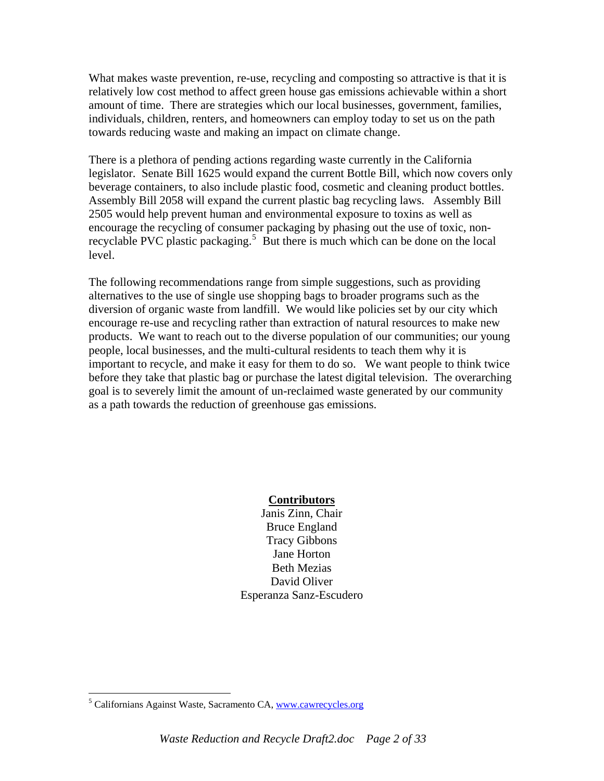What makes waste prevention, re-use, recycling and composting so attractive is that it is relatively low cost method to affect green house gas emissions achievable within a short amount of time. There are strategies which our local businesses, government, families, individuals, children, renters, and homeowners can employ today to set us on the path towards reducing waste and making an impact on climate change.

There is a plethora of pending actions regarding waste currently in the California legislator. Senate Bill 1625 would expand the current Bottle Bill, which now covers only beverage containers, to also include plastic food, cosmetic and cleaning product bottles. Assembly Bill 2058 will expand the current plastic bag recycling laws. Assembly Bill 2505 would help prevent human and environmental exposure to toxins as well as encourage the recycling of consumer packaging by phasing out the use of toxic, non-recyclable PVC plastic packaging.<sup>[5](#page-1-0)</sup> But there is much which can be done on the local level.

The following recommendations range from simple suggestions, such as providing alternatives to the use of single use shopping bags to broader programs such as the diversion of organic waste from landfill. We would like policies set by our city which encourage re-use and recycling rather than extraction of natural resources to make new products. We want to reach out to the diverse population of our communities; our young people, local businesses, and the multi-cultural residents to teach them why it is important to recycle, and make it easy for them to do so. We want people to think twice before they take that plastic bag or purchase the latest digital television. The overarching goal is to severely limit the amount of un-reclaimed waste generated by our community as a path towards the reduction of greenhouse gas emissions.

#### **Contributors**

Janis Zinn, Chair Bruce England Tracy Gibbons Jane Horton Beth Mezias David Oliver Esperanza Sanz-Escudero

 $\overline{a}$ 

<span id="page-1-0"></span><sup>&</sup>lt;sup>5</sup> Californians Against Waste, Sacramento CA, www.cawrecycles.org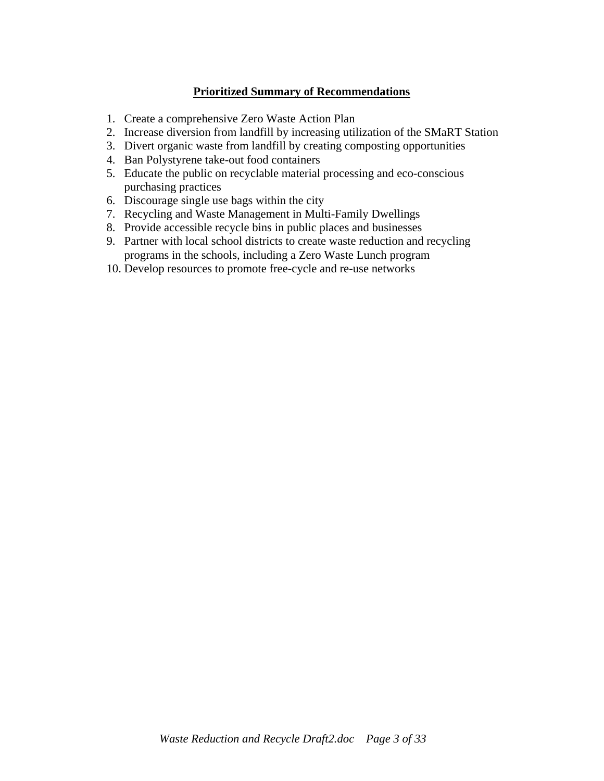## **Prioritized Summary of Recommendations**

- 1. Create a comprehensive Zero Waste Action Plan
- 2. Increase diversion from landfill by increasing utilization of the SMaRT Station
- 3. Divert organic waste from landfill by creating composting opportunities
- 4. Ban Polystyrene take-out food containers
- 5. Educate the public on recyclable material processing and eco-conscious purchasing practices
- 6. Discourage single use bags within the city
- 7. Recycling and Waste Management in Multi-Family Dwellings
- 8. Provide accessible recycle bins in public places and businesses
- 9. Partner with local school districts to create waste reduction and recycling programs in the schools, including a Zero Waste Lunch program
- 10. Develop resources to promote free-cycle and re-use networks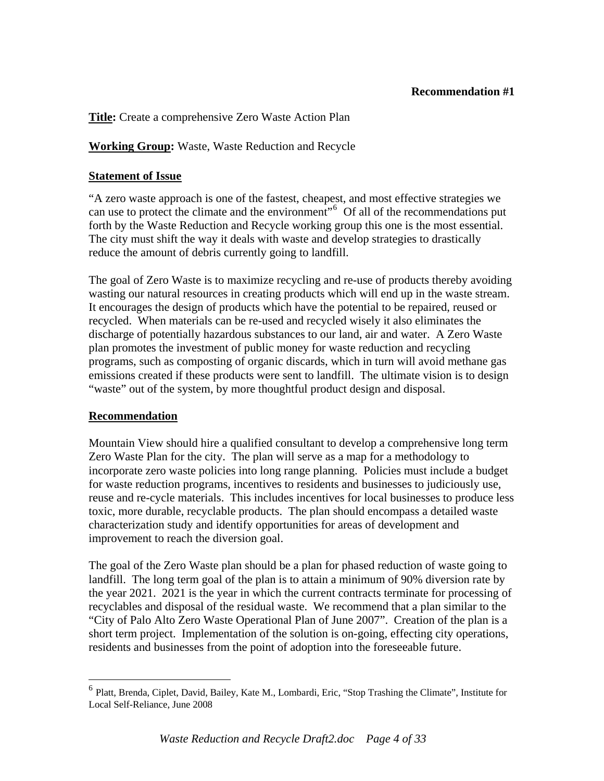#### **Recommendation #1**

#### **Title:** Create a comprehensive Zero Waste Action Plan

#### **Working Group:** Waste, Waste Reduction and Recycle

#### **Statement of Issue**

"A zero waste approach is one of the fastest, cheapest, and most effective strategies we can use to protect the climate and the environment<sup> $\frac{1}{100}$ </sup> Of all of the recommendations put forth by the Waste Reduction and Recycle working group this one is the most essential. The city must shift the way it deals with waste and develop strategies to drastically reduce the amount of debris currently going to landfill.

The goal of Zero Waste is to maximize recycling and re-use of products thereby avoiding wasting our natural resources in creating products which will end up in the waste stream. It encourages the design of products which have the potential to be repaired, reused or recycled. When materials can be re-used and recycled wisely it also eliminates the discharge of potentially hazardous substances to our land, air and water. A Zero Waste plan promotes the investment of public money for waste reduction and recycling programs, such as composting of organic discards, which in turn will avoid methane gas emissions created if these products were sent to landfill. The ultimate vision is to design "waste" out of the system, by more thoughtful product design and disposal.

#### **Recommendation**

 $\overline{a}$ 

Mountain View should hire a qualified consultant to develop a comprehensive long term Zero Waste Plan for the city. The plan will serve as a map for a methodology to incorporate zero waste policies into long range planning. Policies must include a budget for waste reduction programs, incentives to residents and businesses to judiciously use, reuse and re-cycle materials. This includes incentives for local businesses to produce less toxic, more durable, recyclable products. The plan should encompass a detailed waste characterization study and identify opportunities for areas of development and improvement to reach the diversion goal.

The goal of the Zero Waste plan should be a plan for phased reduction of waste going to landfill. The long term goal of the plan is to attain a minimum of 90% diversion rate by the year 2021. 2021 is the year in which the current contracts terminate for processing of recyclables and disposal of the residual waste. We recommend that a plan similar to the "City of Palo Alto Zero Waste Operational Plan of June 2007". Creation of the plan is a short term project. Implementation of the solution is on-going, effecting city operations, residents and businesses from the point of adoption into the foreseeable future.

<span id="page-3-0"></span><sup>&</sup>lt;sup>6</sup> Platt, Brenda, Ciplet, David, Bailey, Kate M., Lombardi, Eric, "Stop Trashing the Climate", Institute for Local Self-Reliance, June 2008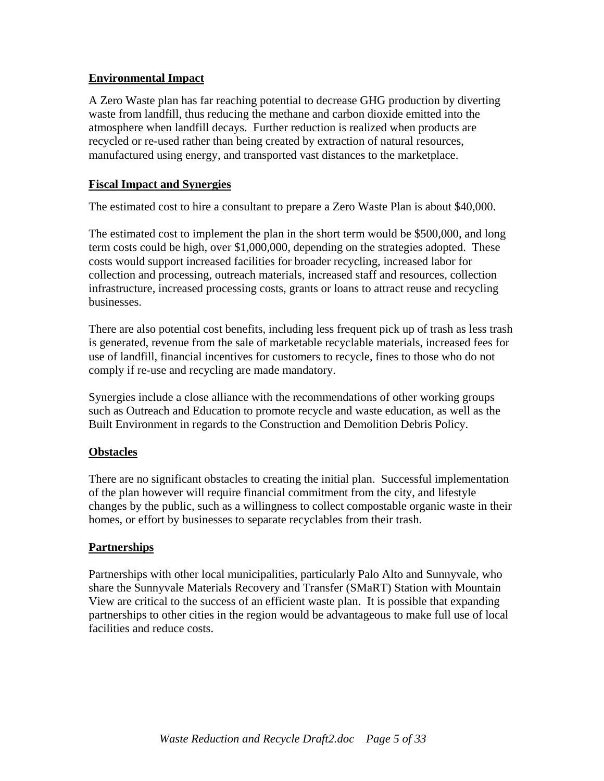## **Environmental Impact**

A Zero Waste plan has far reaching potential to decrease GHG production by diverting waste from landfill, thus reducing the methane and carbon dioxide emitted into the atmosphere when landfill decays. Further reduction is realized when products are recycled or re-used rather than being created by extraction of natural resources, manufactured using energy, and transported vast distances to the marketplace.

## **Fiscal Impact and Synergies**

The estimated cost to hire a consultant to prepare a Zero Waste Plan is about \$40,000.

The estimated cost to implement the plan in the short term would be \$500,000, and long term costs could be high, over \$1,000,000, depending on the strategies adopted. These costs would support increased facilities for broader recycling, increased labor for collection and processing, outreach materials, increased staff and resources, collection infrastructure, increased processing costs, grants or loans to attract reuse and recycling businesses.

There are also potential cost benefits, including less frequent pick up of trash as less trash is generated, revenue from the sale of marketable recyclable materials, increased fees for use of landfill, financial incentives for customers to recycle, fines to those who do not comply if re-use and recycling are made mandatory.

Synergies include a close alliance with the recommendations of other working groups such as Outreach and Education to promote recycle and waste education, as well as the Built Environment in regards to the Construction and Demolition Debris Policy.

## **Obstacles**

There are no significant obstacles to creating the initial plan. Successful implementation of the plan however will require financial commitment from the city, and lifestyle changes by the public, such as a willingness to collect compostable organic waste in their homes, or effort by businesses to separate recyclables from their trash.

## **Partnerships**

Partnerships with other local municipalities, particularly Palo Alto and Sunnyvale, who share the Sunnyvale Materials Recovery and Transfer (SMaRT) Station with Mountain View are critical to the success of an efficient waste plan. It is possible that expanding partnerships to other cities in the region would be advantageous to make full use of local facilities and reduce costs.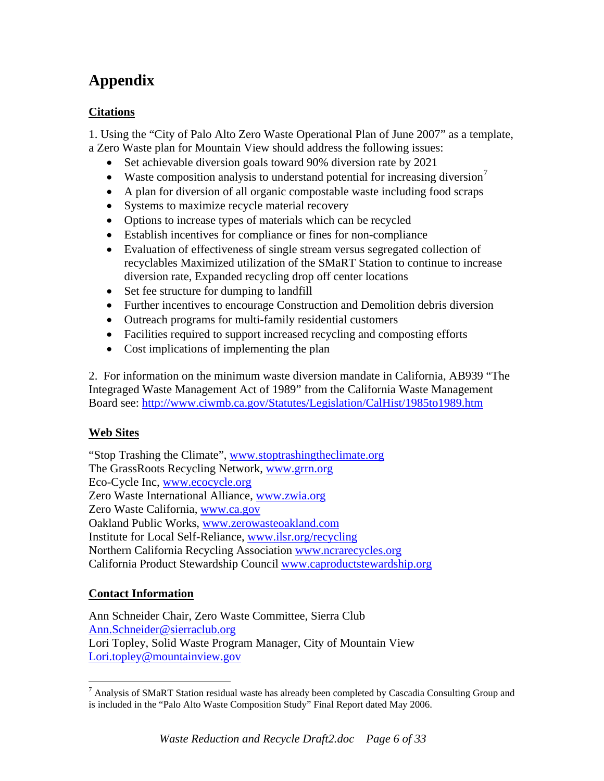## **Citations**

1. Using the "City of Palo Alto Zero Waste Operational Plan of June 2007" as a template, a Zero Waste plan for Mountain View should address the following issues:

- Set achievable diversion goals toward 90% diversion rate by 2021
- Waste composition analysis to understand potential for increasing diversion<sup> $\prime$ </sup>
- A plan for diversion of all organic compostable waste including food scraps
- Systems to maximize recycle material recovery
- Options to increase types of materials which can be recycled
- Establish incentives for compliance or fines for non-compliance
- Evaluation of effectiveness of single stream versus segregated collection of recyclables Maximized utilization of the SMaRT Station to continue to increase diversion rate, Expanded recycling drop off center locations
- Set fee structure for dumping to landfill
- Further incentives to encourage Construction and Demolition debris diversion
- Outreach programs for multi-family residential customers
- Facilities required to support increased recycling and composting efforts
- Cost implications of implementing the plan

2. For information on the minimum waste diversion mandate in California, AB939 "The Integraged Waste Management Act of 1989" from the California Waste Management Board see:<http://www.ciwmb.ca.gov/Statutes/Legislation/CalHist/1985to1989.htm>

## **Web Sites**

"Stop Trashing the Climate", [www.stoptrashingtheclimate.org](http://www.stoptrashingtheclimate.org/) The GrassRoots Recycling Network, [www.grrn.org](http://www.grrn.org/) Eco-Cycle Inc, [www.ecocycle.org](http://www.ecocycle.org/) Zero Waste International Alliance, [www.zwia.org](http://www.zwia.org/) Zero Waste California, [www.ca.gov](http://www.ca.gov/) Oakland Public Works, [www.zerowasteoakland.com](http://www.zerowasteoakland.com/) Institute for Local Self-Reliance, [www.ilsr.org/recycling](http://www.ilsr.org/recycling) Northern California Recycling Association [www.ncrarecycles.org](http://www.ncrarecycles.org/) California Product Stewardship Council [www.caproductstewardship.org](http://www.caproductstewardship.org/) 

## **Contact Information**

 $\overline{a}$ 

Ann Schneider Chair, Zero Waste Committee, Sierra Club [Ann.Schneider@sierraclub.org](mailto:Ann.Schneider@sierraclub.org) Lori Topley, Solid Waste Program Manager, City of Mountain View [Lori.topley@mountainview.gov](mailto:Lori.topley@mountainview.gov)

<span id="page-5-0"></span><sup>&</sup>lt;sup>7</sup> Analysis of SMaRT Station residual waste has already been completed by Cascadia Consulting Group and is included in the "Palo Alto Waste Composition Study" Final Report dated May 2006.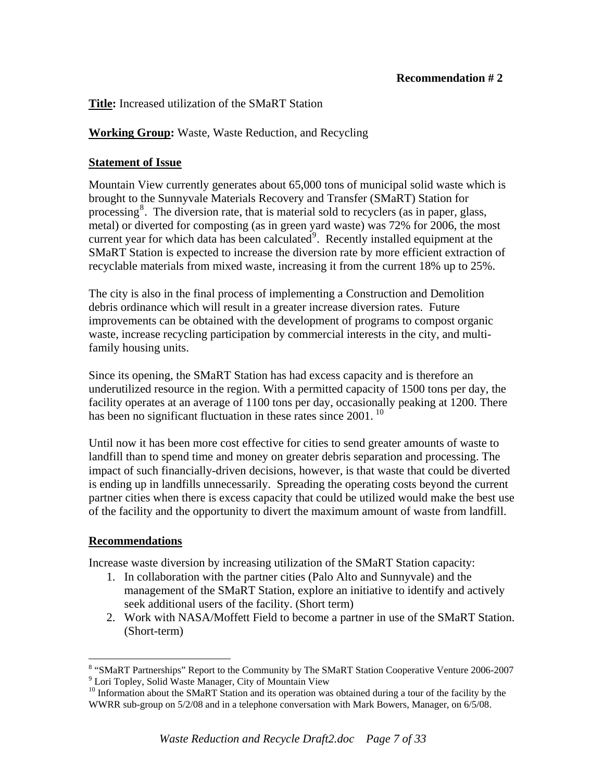## **Title:** Increased utilization of the SMaRT Station

## **Working Group:** Waste, Waste Reduction, and Recycling

## **Statement of Issue**

Mountain View currently generates about 65,000 tons of municipal solid waste which is brought to the Sunnyvale Materials Recovery and Transfer (SMaRT) Station for processing<sup>[8](#page-6-0)</sup>. The diversion rate, that is material sold to recyclers (as in paper, glass, metal) or diverted for composting (as in green yard waste) was 72% for 2006, the most current year for which data has been calculated $9$ . Recently installed equipment at the SMaRT Station is expected to increase the diversion rate by more efficient extraction of recyclable materials from mixed waste, increasing it from the current 18% up to 25%.

The city is also in the final process of implementing a Construction and Demolition debris ordinance which will result in a greater increase diversion rates. Future improvements can be obtained with the development of programs to compost organic waste, increase recycling participation by commercial interests in the city, and multifamily housing units.

Since its opening, the SMaRT Station has had excess capacity and is therefore an underutilized resource in the region. With a permitted capacity of 1500 tons per day, the facility operates at an average of 1100 tons per day, occasionally peaking at 1200. There has been no significant fluctuation in these rates since 2001.<sup>[10](#page-6-2)</sup>

Until now it has been more cost effective for cities to send greater amounts of waste to landfill than to spend time and money on greater debris separation and processing. The impact of such financially-driven decisions, however, is that waste that could be diverted is ending up in landfills unnecessarily. Spreading the operating costs beyond the current partner cities when there is excess capacity that could be utilized would make the best use of the facility and the opportunity to divert the maximum amount of waste from landfill.

## **Recommendations**

<u>.</u>

Increase waste diversion by increasing utilization of the SMaRT Station capacity:

- 1. In collaboration with the partner cities (Palo Alto and Sunnyvale) and the management of the SMaRT Station, explore an initiative to identify and actively seek additional users of the facility. (Short term)
- 2. Work with NASA/Moffett Field to become a partner in use of the SMaRT Station. (Short-term)

<span id="page-6-0"></span><sup>&</sup>lt;sup>8</sup> "SMaRT Partnerships" Report to the Community by The SMaRT Station Cooperative Venture 2006-2007 9 Lori Topley, Solid Waste Manager, City of Mountain View

<span id="page-6-2"></span><span id="page-6-1"></span><sup>&</sup>lt;sup>10</sup> Information about the SMaRT Station and its operation was obtained during a tour of the facility by the WWRR sub-group on 5/2/08 and in a telephone conversation with Mark Bowers, Manager, on 6/5/08.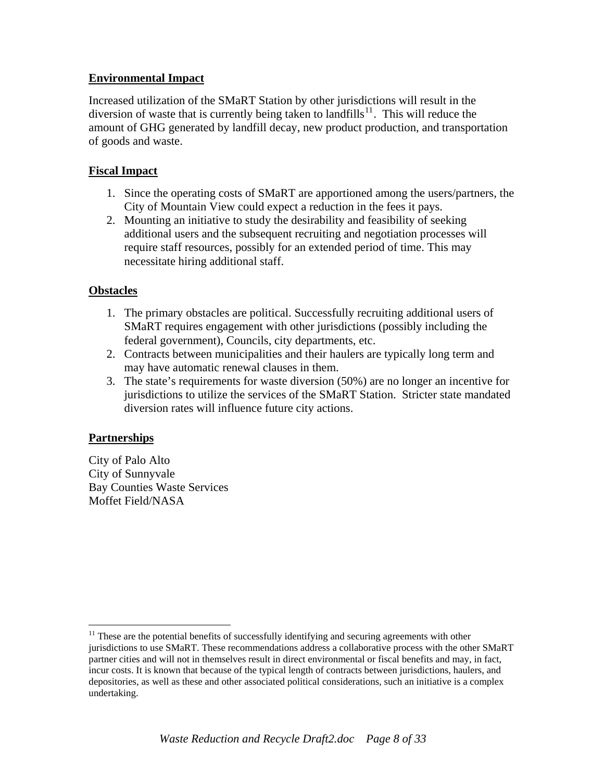## **Environmental Impact**

Increased utilization of the SMaRT Station by other jurisdictions will result in the diversion of waste that is currently being taken to landfills<sup>[11](#page-7-0)</sup>. This will reduce the amount of GHG generated by landfill decay, new product production, and transportation of goods and waste.

## **Fiscal Impact**

- 1. Since the operating costs of SMaRT are apportioned among the users/partners, the City of Mountain View could expect a reduction in the fees it pays.
- 2. Mounting an initiative to study the desirability and feasibility of seeking additional users and the subsequent recruiting and negotiation processes will require staff resources, possibly for an extended period of time. This may necessitate hiring additional staff.

## **Obstacles**

- 1. The primary obstacles are political. Successfully recruiting additional users of SMaRT requires engagement with other jurisdictions (possibly including the federal government), Councils, city departments, etc.
- 2. Contracts between municipalities and their haulers are typically long term and may have automatic renewal clauses in them.
- 3. The state's requirements for waste diversion (50%) are no longer an incentive for jurisdictions to utilize the services of the SMaRT Station. Stricter state mandated diversion rates will influence future city actions.

## **Partnerships**

 $\overline{a}$ 

City of Palo Alto City of Sunnyvale Bay Counties Waste Services Moffet Field/NASA

<span id="page-7-0"></span> $11$  These are the potential benefits of successfully identifying and securing agreements with other jurisdictions to use SMaRT. These recommendations address a collaborative process with the other SMaRT partner cities and will not in themselves result in direct environmental or fiscal benefits and may, in fact, incur costs. It is known that because of the typical length of contracts between jurisdictions, haulers, and depositories, as well as these and other associated political considerations, such an initiative is a complex undertaking.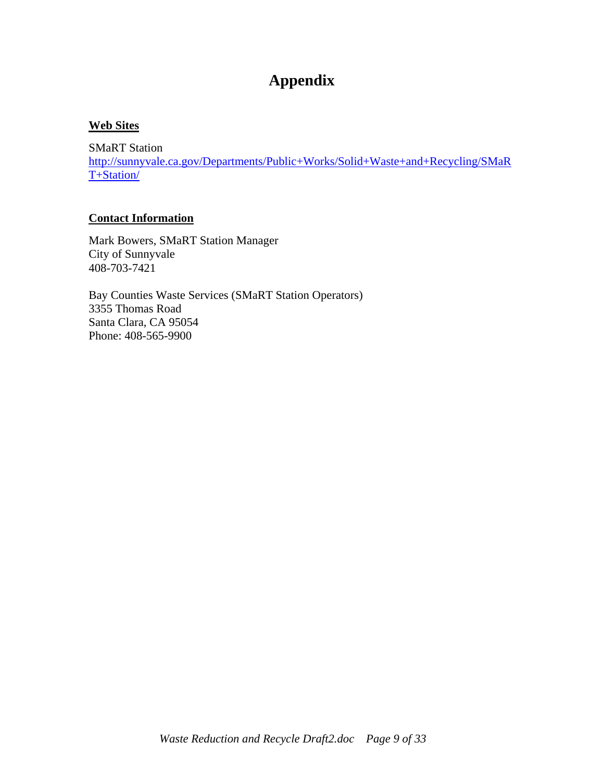## **Web Sites**

SMaRT Station [http://sunnyvale.ca.gov/Departments/Public+Works/Solid+Waste+and+Recycling/SMaR](http://sunnyvale.ca.gov/Departments/Public+Works/Solid+Waste+and+Recycling/SMaRT+Station/) [T+Station/](http://sunnyvale.ca.gov/Departments/Public+Works/Solid+Waste+and+Recycling/SMaRT+Station/)

#### **Contact Information**

Mark Bowers, SMaRT Station Manager City of Sunnyvale 408-703-7421

Bay Counties Waste Services (SMaRT Station Operators) 3355 Thomas Road Santa Clara, CA 95054 Phone: 408-565-9900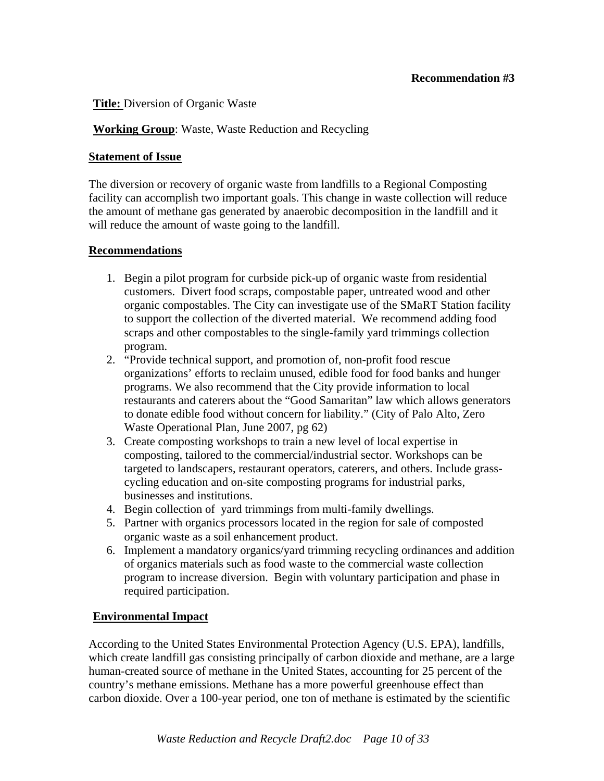#### **Title:** Diversion of Organic Waste

#### **Working Group**: Waste, Waste Reduction and Recycling

#### **Statement of Issue**

The diversion or recovery of organic waste from landfills to a Regional Composting facility can accomplish two important goals. This change in waste collection will reduce the amount of methane gas generated by anaerobic decomposition in the landfill and it will reduce the amount of waste going to the landfill.

#### **Recommendations**

- 1. Begin a pilot program for curbside pick-up of organic waste from residential customers. Divert food scraps, compostable paper, untreated wood and other organic compostables. The City can investigate use of the SMaRT Station facility to support the collection of the diverted material. We recommend adding food scraps and other compostables to the single-family yard trimmings collection program.
- 2. "Provide technical support, and promotion of, non-profit food rescue organizations' efforts to reclaim unused, edible food for food banks and hunger programs. We also recommend that the City provide information to local restaurants and caterers about the "Good Samaritan" law which allows generators to donate edible food without concern for liability." (City of Palo Alto, Zero Waste Operational Plan, June 2007, pg 62)
- 3. Create composting workshops to train a new level of local expertise in composting, tailored to the commercial/industrial sector. Workshops can be targeted to landscapers, restaurant operators, caterers, and others. Include grasscycling education and on-site composting programs for industrial parks, businesses and institutions.
- 4. Begin collection of yard trimmings from multi-family dwellings.
- 5. Partner with organics processors located in the region for sale of composted organic waste as a soil enhancement product.
- 6. Implement a mandatory organics/yard trimming recycling ordinances and addition of organics materials such as food waste to the commercial waste collection program to increase diversion. Begin with voluntary participation and phase in required participation.

#### **Environmental Impact**

According to the United States Environmental Protection Agency (U.S. EPA), landfills, which create landfill gas consisting principally of carbon dioxide and methane, are a large human-created source of methane in the United States, accounting for 25 percent of the country's methane emissions. Methane has a more powerful greenhouse effect than carbon dioxide. Over a 100-year period, one ton of methane is estimated by the scientific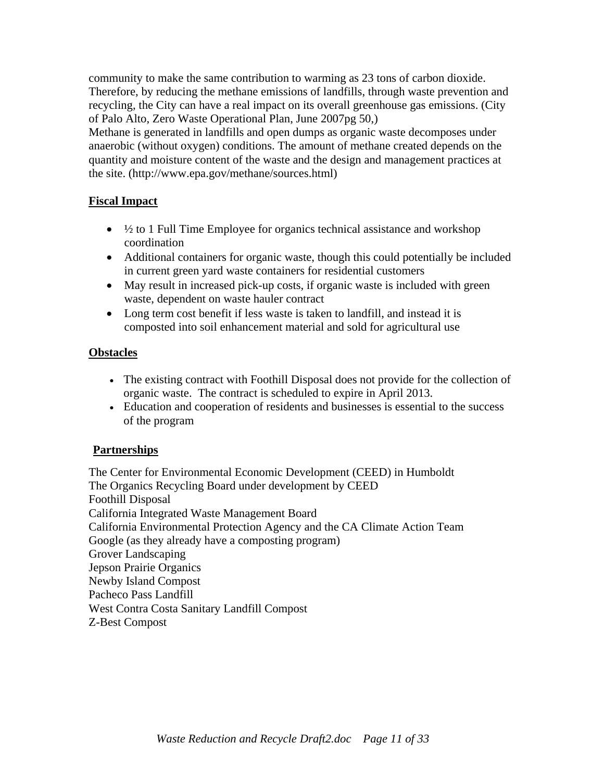community to make the same contribution to warming as 23 tons of carbon dioxide. Therefore, by reducing the methane emissions of landfills, through waste prevention and recycling, the City can have a real impact on its overall greenhouse gas emissions. (City of Palo Alto, Zero Waste Operational Plan, June 2007pg 50,)

Methane is generated in landfills and open dumps as organic waste decomposes under anaerobic (without oxygen) conditions. The amount of methane created depends on the quantity and moisture content of the waste and the design and management practices at the site. (http://www.epa.gov/methane/sources.html)

## **Fiscal Impact**

- $\frac{1}{2}$  to 1 Full Time Employee for organics technical assistance and workshop coordination
- Additional containers for organic waste, though this could potentially be included in current green yard waste containers for residential customers
- May result in increased pick-up costs, if organic waste is included with green waste, dependent on waste hauler contract
- Long term cost benefit if less waste is taken to landfill, and instead it is composted into soil enhancement material and sold for agricultural use

## **Obstacles**

- The existing contract with Foothill Disposal does not provide for the collection of organic waste. The contract is scheduled to expire in April 2013.
- Education and cooperation of residents and businesses is essential to the success of the program

## **Partnerships**

The Center for Environmental Economic Development (CEED) in Humboldt The Organics Recycling Board under development by CEED Foothill Disposal California Integrated Waste Management Board California Environmental Protection Agency and the CA Climate Action Team Google (as they already have a composting program) Grover Landscaping Jepson Prairie Organics Newby Island Compost Pacheco Pass Landfill West Contra Costa Sanitary Landfill Compost Z-Best Compost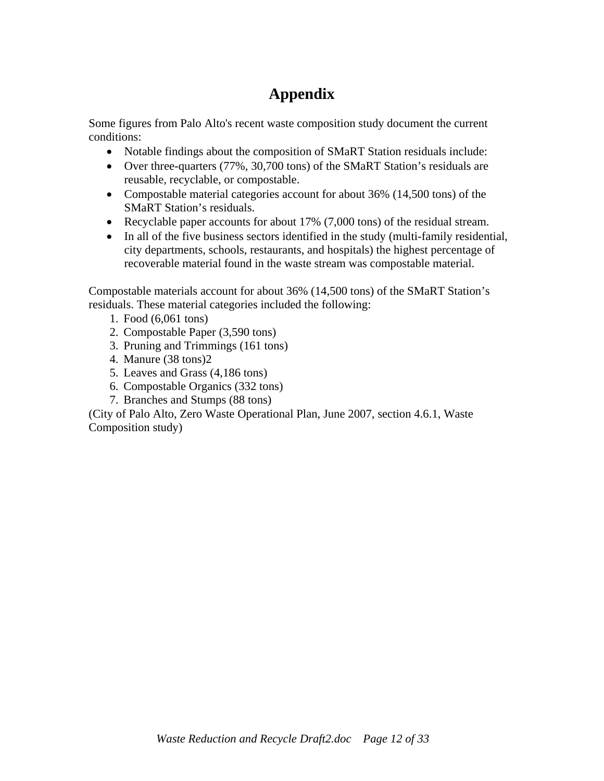Some figures from Palo Alto's recent waste composition study document the current conditions:

- Notable findings about the composition of SMaRT Station residuals include:
- Over three-quarters (77%, 30,700 tons) of the SMaRT Station's residuals are reusable, recyclable, or compostable.
- Compostable material categories account for about 36% (14,500 tons) of the SMaRT Station's residuals.
- Recyclable paper accounts for about 17% (7,000 tons) of the residual stream.
- In all of the five business sectors identified in the study (multi-family residential, city departments, schools, restaurants, and hospitals) the highest percentage of recoverable material found in the waste stream was compostable material.

Compostable materials account for about 36% (14,500 tons) of the SMaRT Station's residuals. These material categories included the following:

- 1. Food (6,061 tons)
- 2. Compostable Paper (3,590 tons)
- 3. Pruning and Trimmings (161 tons)
- 4. Manure (38 tons)2
- 5. Leaves and Grass (4,186 tons)
- 6. Compostable Organics (332 tons)
- 7. Branches and Stumps (88 tons)

(City of Palo Alto, Zero Waste Operational Plan, June 2007, section 4.6.1, Waste Composition study)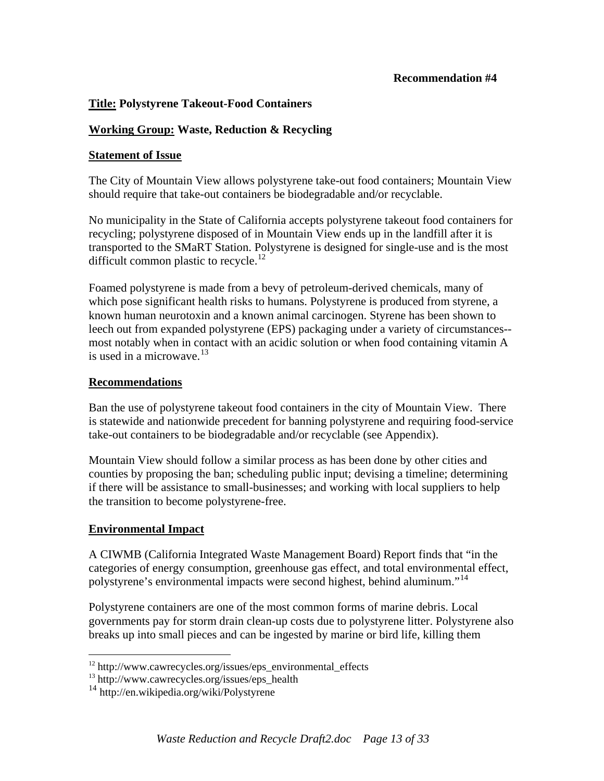#### **Recommendation #4**

#### **Title: Polystyrene Takeout-Food Containers**

#### **Working Group: Waste, Reduction & Recycling**

#### **Statement of Issue**

The City of Mountain View allows polystyrene take-out food containers; Mountain View should require that take-out containers be biodegradable and/or recyclable.

No municipality in the State of California accepts polystyrene takeout food containers for recycling; polystyrene disposed of in Mountain View ends up in the landfill after it is transported to the SMaRT Station. Polystyrene is designed for single-use and is the most difficult common plastic to recycle.<sup>[12](#page-12-0)</sup>

Foamed polystyrene is made from a bevy of petroleum-derived chemicals, many of which pose significant health risks to humans. Polystyrene is produced from styrene, a known human neurotoxin and a known animal carcinogen. Styrene has been shown to leech out from expanded polystyrene (EPS) packaging under a variety of circumstances- most notably when in contact with an acidic solution or when food containing vitamin A is used in a microwave.  $13$ 

#### **Recommendations**

Ban the use of polystyrene takeout food containers in the city of Mountain View. There is statewide and nationwide precedent for banning polystyrene and requiring food-service take-out containers to be biodegradable and/or recyclable (see Appendix).

Mountain View should follow a similar process as has been done by other cities and counties by proposing the ban; scheduling public input; devising a timeline; determining if there will be assistance to small-businesses; and working with local suppliers to help the transition to become polystyrene-free.

#### **Environmental Impact**

 $\overline{a}$ 

A CIWMB (California Integrated Waste Management Board) Report finds that "in the categories of energy consumption, greenhouse gas effect, and total environmental effect, polystyrene's environmental impacts were second highest, behind aluminum."[14](#page-12-2)

Polystyrene containers are one of the most common forms of marine debris. Local governments pay for storm drain clean-up costs due to polystyrene litter. Polystyrene also breaks up into small pieces and can be ingested by marine or bird life, killing them

<span id="page-12-0"></span> $12 \text{ http://www.cawrecycles.org/issues/eps}$  environmental effects

<span id="page-12-1"></span><sup>&</sup>lt;sup>13</sup> http://www.cawrecycles.org/issues/eps\_health

<span id="page-12-2"></span><sup>14</sup> http://en.wikipedia.org/wiki/Polystyrene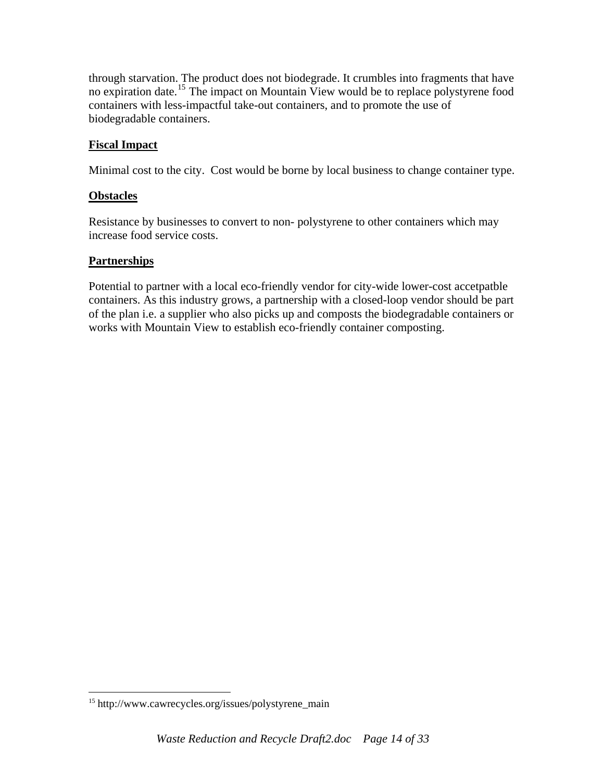through starvation. The product does not biodegrade. It crumbles into fragments that have no expiration date.<sup>[15](#page-13-0)</sup> The impact on Mountain View would be to replace polystyrene food containers with less-impactful take-out containers, and to promote the use of biodegradable containers.

#### **Fiscal Impact**

Minimal cost to the city. Cost would be borne by local business to change container type.

#### **Obstacles**

Resistance by businesses to convert to non- polystyrene to other containers which may increase food service costs.

#### **Partnerships**

 $\overline{a}$ 

Potential to partner with a local eco-friendly vendor for city-wide lower-cost accetpatble containers. As this industry grows, a partnership with a closed-loop vendor should be part of the plan i.e. a supplier who also picks up and composts the biodegradable containers or works with Mountain View to establish eco-friendly container composting.

<span id="page-13-0"></span><sup>15</sup> http://www.cawrecycles.org/issues/polystyrene\_main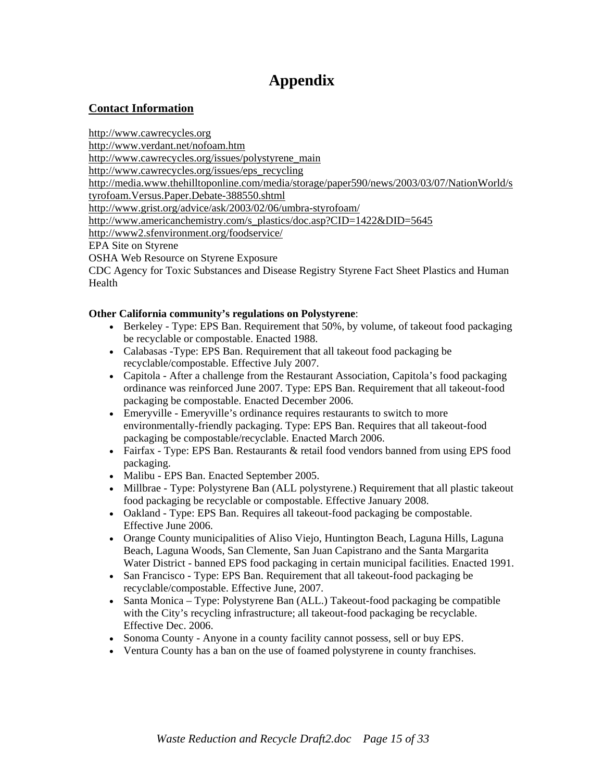## **Contact Information**

http://www.cawrecycles.org

http://www.verdant.net/nofoam.htm

http://www.cawrecycles.org/issues/polystyrene\_main

http://www.cawrecycles.org/issues/eps\_recycling

http://media.www.thehilltoponline.com/media/storage/paper590/news/2003/03/07/NationWorld/s

tyrofoam.Versus.Paper.Debate-388550.shtml

http://www.grist.org/advice/ask/2003/02/06/umbra-styrofoam/

http://www.americanchemistry.com/s\_plastics/doc.asp?CID=1422&DID=5645

http://www2.sfenvironment.org/foodservice/

EPA Site on Styrene

OSHA Web Resource on Styrene Exposure

CDC Agency for Toxic Substances and Disease Registry Styrene Fact Sheet Plastics and Human Health

#### **Other California community's regulations on Polystyrene**:

- Berkeley Type: EPS Ban. Requirement that 50%, by volume, of takeout food packaging be recyclable or compostable. Enacted 1988.
- Calabasas -Type: EPS Ban. Requirement that all takeout food packaging be recyclable/compostable. Effective July 2007.
- Capitola After a challenge from the Restaurant Association, Capitola's food packaging ordinance was reinforced June 2007. Type: EPS Ban. Requirement that all takeout-food packaging be compostable. Enacted December 2006.
- Emeryville Emeryville's ordinance requires restaurants to switch to more environmentally-friendly packaging. Type: EPS Ban. Requires that all takeout-food packaging be compostable/recyclable. Enacted March 2006.
- Fairfax Type: EPS Ban. Restaurants & retail food vendors banned from using EPS food packaging.
- Malibu EPS Ban. Enacted September 2005.
- Millbrae Type: Polystyrene Ban (ALL polystyrene.) Requirement that all plastic takeout food packaging be recyclable or compostable. Effective January 2008.
- Oakland Type: EPS Ban. Requires all takeout-food packaging be compostable. Effective June 2006.
- Orange County municipalities of Aliso Viejo, Huntington Beach, Laguna Hills, Laguna Beach, Laguna Woods, San Clemente, San Juan Capistrano and the Santa Margarita Water District - banned EPS food packaging in certain municipal facilities. Enacted 1991.
- San Francisco Type: EPS Ban. Requirement that all takeout-food packaging be recyclable/compostable. Effective June, 2007.
- Santa Monica Type: Polystyrene Ban (ALL.) Takeout-food packaging be compatible with the City's recycling infrastructure; all takeout-food packaging be recyclable. Effective Dec. 2006.
- Sonoma County Anyone in a county facility cannot possess, sell or buy EPS.
- Ventura County has a ban on the use of foamed polystyrene in county franchises.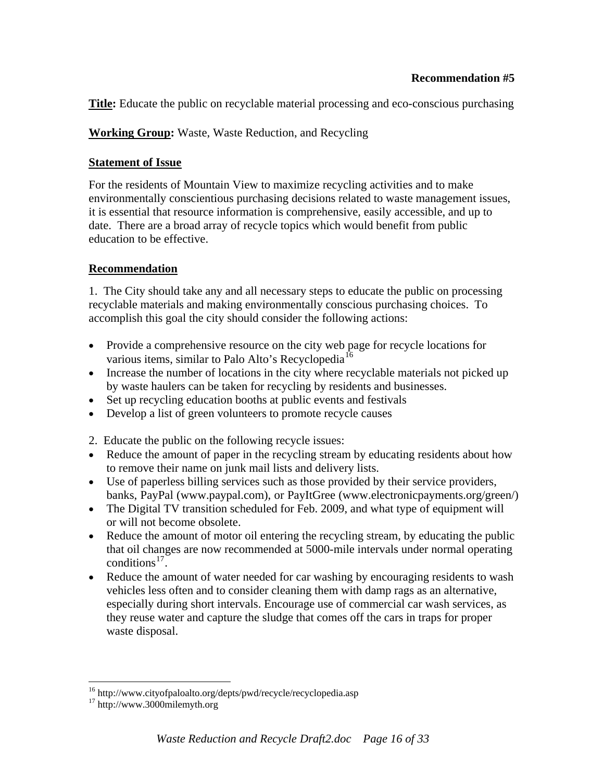**Title:** Educate the public on recyclable material processing and eco-conscious purchasing

**Working Group:** Waste, Waste Reduction, and Recycling

## **Statement of Issue**

For the residents of Mountain View to maximize recycling activities and to make environmentally conscientious purchasing decisions related to waste management issues, it is essential that resource information is comprehensive, easily accessible, and up to date. There are a broad array of recycle topics which would benefit from public education to be effective.

## **Recommendation**

1. The City should take any and all necessary steps to educate the public on processing recyclable materials and making environmentally conscious purchasing choices. To accomplish this goal the city should consider the following actions:

- Provide a comprehensive resource on the city web page for recycle locations for various items, similar to Palo Alto's Recyclopedia<sup>[16](#page-15-0)</sup>
- Increase the number of locations in the city where recyclable materials not picked up by waste haulers can be taken for recycling by residents and businesses.
- Set up recycling education booths at public events and festivals
- Develop a list of green volunteers to promote recycle causes

2. Educate the public on the following recycle issues:

- Reduce the amount of paper in the recycling stream by educating residents about how to remove their name on junk mail lists and delivery lists.
- Use of paperless billing services such as those provided by their service providers, banks, PayPal (www.paypal.com), or PayItGree (www.electronicpayments.org/green/)
- The Digital TV transition scheduled for Feb. 2009, and what type of equipment will or will not become obsolete.
- Reduce the amount of motor oil entering the recycling stream, by educating the public that oil changes are now recommended at 5000-mile intervals under normal operating conditions<sup>[17](#page-15-1)</sup>.
- Reduce the amount of water needed for car washing by encouraging residents to wash vehicles less often and to consider cleaning them with damp rags as an alternative, especially during short intervals. Encourage use of commercial car wash services, as they reuse water and capture the sludge that comes off the cars in traps for proper waste disposal.

 $\overline{a}$ 

<span id="page-15-0"></span><sup>&</sup>lt;sup>16</sup> http://www.cityofpaloalto.org/depts/pwd/recycle/recyclopedia.asp<br><sup>17</sup> http://www.3000milemyth.org

<span id="page-15-1"></span>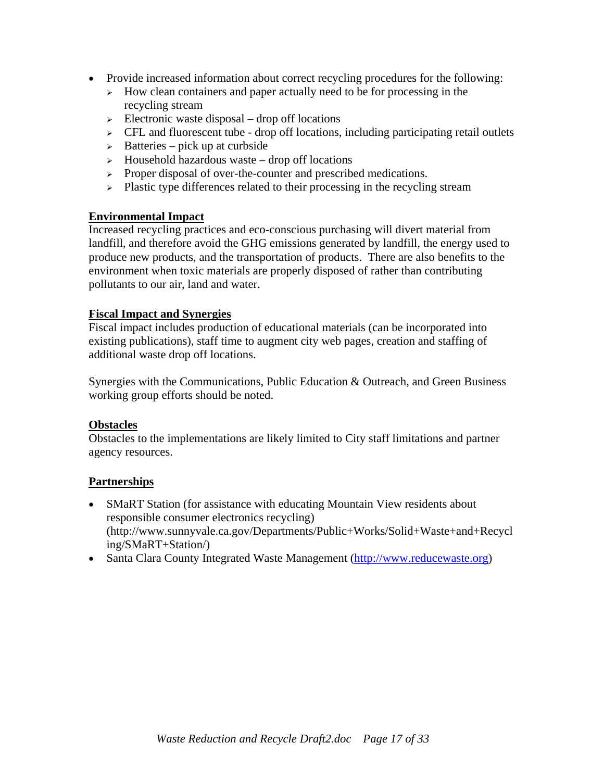- Provide increased information about correct recycling procedures for the following:
	- $\rightarrow$  How clean containers and paper actually need to be for processing in the recycling stream
	- $\geq$  Electronic waste disposal drop off locations
	- $\triangleright$  CFL and fluorescent tube drop off locations, including participating retail outlets
	- $\geq$  Batteries pick up at curbside
	- $\rightarrow$  Household hazardous waste drop off locations
	- <sup>¾</sup> Proper disposal of over-the-counter and prescribed medications.
	- $\triangleright$  Plastic type differences related to their processing in the recycling stream

#### **Environmental Impact**

Increased recycling practices and eco-conscious purchasing will divert material from landfill, and therefore avoid the GHG emissions generated by landfill, the energy used to produce new products, and the transportation of products. There are also benefits to the environment when toxic materials are properly disposed of rather than contributing pollutants to our air, land and water.

#### **Fiscal Impact and Synergies**

Fiscal impact includes production of educational materials (can be incorporated into existing publications), staff time to augment city web pages, creation and staffing of additional waste drop off locations.

Synergies with the Communications, Public Education & Outreach, and Green Business working group efforts should be noted.

#### **Obstacles**

Obstacles to the implementations are likely limited to City staff limitations and partner agency resources.

## **Partnerships**

- SMaRT Station (for assistance with educating Mountain View residents about responsible consumer electronics recycling) (http://www.sunnyvale.ca.gov/Departments/Public+Works/Solid+Waste+and+Recycl ing/SMaRT+Station/)
- Santa Clara County Integrated Waste Management [\(http://www.reducewaste.org](http://www.reducewaste.org/))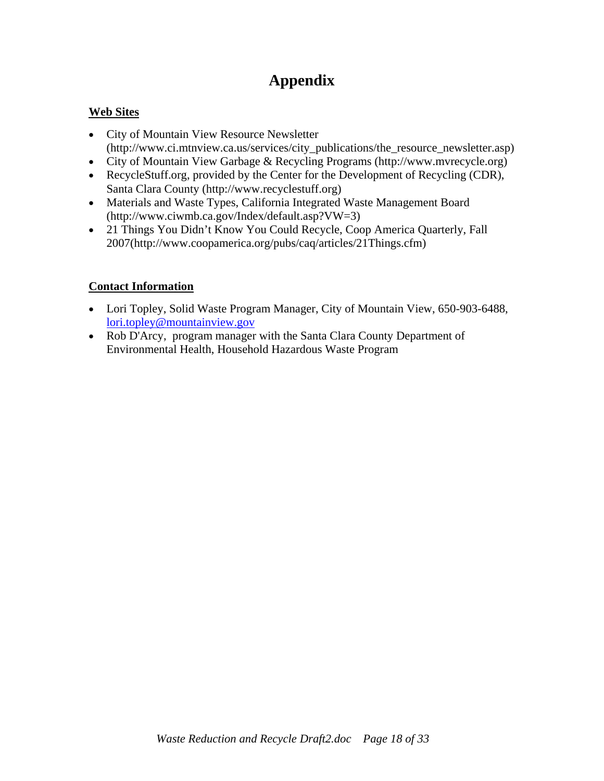## **Web Sites**

- City of Mountain View Resource Newsletter (http://www.ci.mtnview.ca.us/services/city\_publications/the\_resource\_newsletter.asp)
- City of Mountain View Garbage & Recycling Programs (http://www.mvrecycle.org)
- RecycleStuff.org, provided by the Center for the Development of Recycling (CDR), Santa Clara County (http://www.recyclestuff.org)
- Materials and Waste Types, California Integrated Waste Management Board (http://www.ciwmb.ca.gov/Index/default.asp?VW=3)
- 21 Things You Didn't Know You Could Recycle, Coop America Quarterly, Fall 2007(http://www.coopamerica.org/pubs/caq/articles/21Things.cfm)

## **Contact Information**

- Lori Topley, Solid Waste Program Manager, City of Mountain View, 650-903-6488, [lori.topley@mountainview.gov](mailto:lori.topley@mountainview.gov)
- Rob D'Arcy, program manager with the Santa Clara County Department of Environmental Health, Household Hazardous Waste Program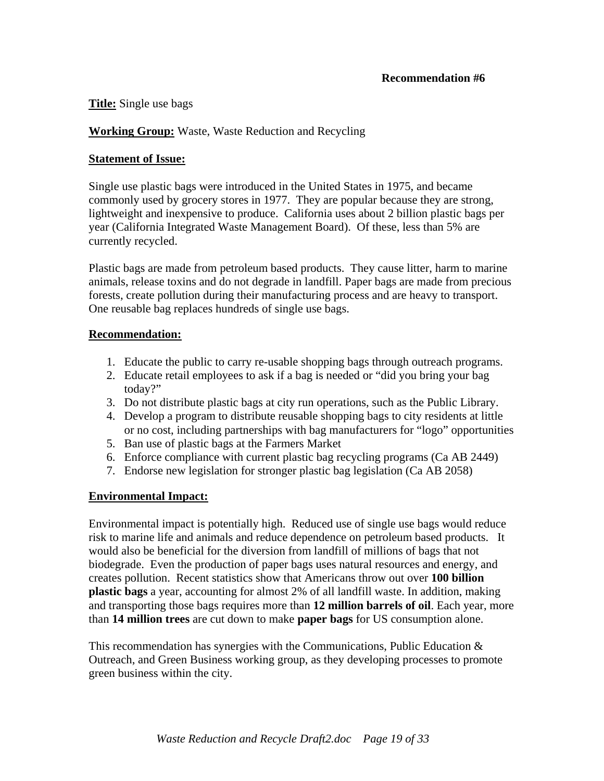**Title:** Single use bags

#### **Working Group:** Waste, Waste Reduction and Recycling

#### **Statement of Issue:**

Single use plastic bags were introduced in the United States in 1975, and became commonly used by grocery stores in 1977. They are popular because they are strong, lightweight and inexpensive to produce. California uses about 2 billion plastic bags per year (California Integrated Waste Management Board). Of these, less than 5% are currently recycled.

Plastic bags are made from petroleum based products. They cause litter, harm to marine animals, release toxins and do not degrade in landfill. Paper bags are made from precious forests, create pollution during their manufacturing process and are heavy to transport. One reusable bag replaces hundreds of single use bags.

#### **Recommendation:**

- 1. Educate the public to carry re-usable shopping bags through outreach programs.
- 2. Educate retail employees to ask if a bag is needed or "did you bring your bag today?"
- 3. Do not distribute plastic bags at city run operations, such as the Public Library.
- 4. Develop a program to distribute reusable shopping bags to city residents at little or no cost, including partnerships with bag manufacturers for "logo" opportunities
- 5. Ban use of plastic bags at the Farmers Market
- 6. Enforce compliance with current plastic bag recycling programs (Ca AB 2449)
- 7. Endorse new legislation for stronger plastic bag legislation (Ca AB 2058)

## **Environmental Impact:**

Environmental impact is potentially high. Reduced use of single use bags would reduce risk to marine life and animals and reduce dependence on petroleum based products. It would also be beneficial for the diversion from landfill of millions of bags that not biodegrade. Even the production of paper bags uses natural resources and energy, and creates pollution. Recent statistics show that Americans throw out over **100 billion plastic bags** a year, accounting for almost 2% of all landfill waste. In addition, making and transporting those bags requires more than **12 million barrels of oil**. Each year, more than **14 million trees** are cut down to make **paper bags** for US consumption alone.

This recommendation has synergies with the Communications, Public Education  $\&$ Outreach, and Green Business working group, as they developing processes to promote green business within the city.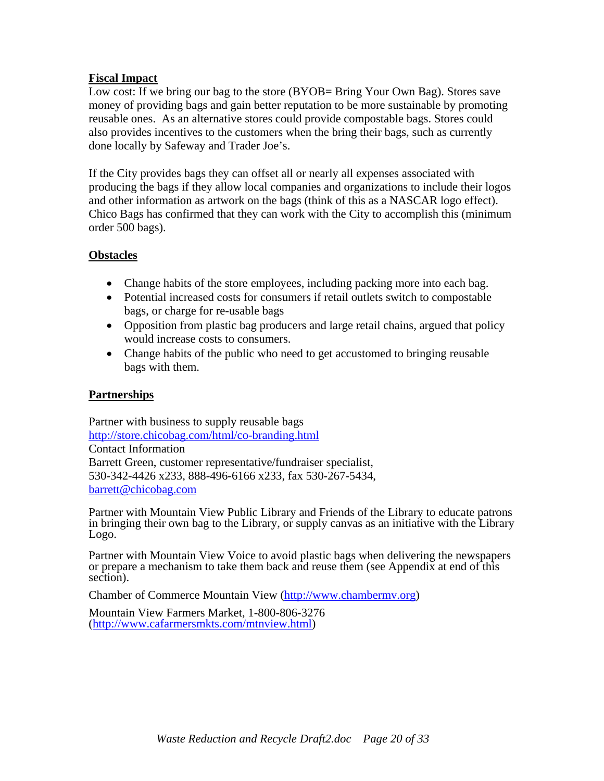#### **Fiscal Impact**

Low cost: If we bring our bag to the store (BYOB= Bring Your Own Bag). Stores save money of providing bags and gain better reputation to be more sustainable by promoting reusable ones. As an alternative stores could provide compostable bags. Stores could also provides incentives to the customers when the bring their bags, such as currently done locally by Safeway and Trader Joe's.

If the City provides bags they can offset all or nearly all expenses associated with producing the bags if they allow local companies and organizations to include their logos and other information as artwork on the bags (think of this as a NASCAR logo effect). Chico Bags has confirmed that they can work with the City to accomplish this (minimum order 500 bags).

#### **Obstacles**

- Change habits of the store employees, including packing more into each bag.
- Potential increased costs for consumers if retail outlets switch to compostable bags, or charge for re-usable bags
- Opposition from plastic bag producers and large retail chains, argued that policy would increase costs to consumers.
- Change habits of the public who need to get accustomed to bringing reusable bags with them.

#### **Partnerships**

Partner with business to supply reusable bags <http://store.chicobag.com/html/co-branding.html> Contact Information Barrett Green, customer representative/fundraiser specialist, 530-342-4426 x233, 888-496-6166 x233, fax 530-267-5434, [barrett@chicobag.com](mailto:barrett@chicobag.com)

Partner with Mountain View Public Library and Friends of the Library to educate patrons in bringing their own bag to the Library, or supply canvas as an initiative with the Library Logo.

Partner with Mountain View Voice to avoid plastic bags when delivering the newspapers or prepare a mechanism to take them back and reuse them (see Appendix at end of this section).

Chamber of Commerce Mountain View [\(http://www.chambermv.org\)](http://www.chambermv.org/)

Mountain View Farmers Market, 1-800-806-3276 (<http://www.cafarmersmkts.com/mtnview.html>)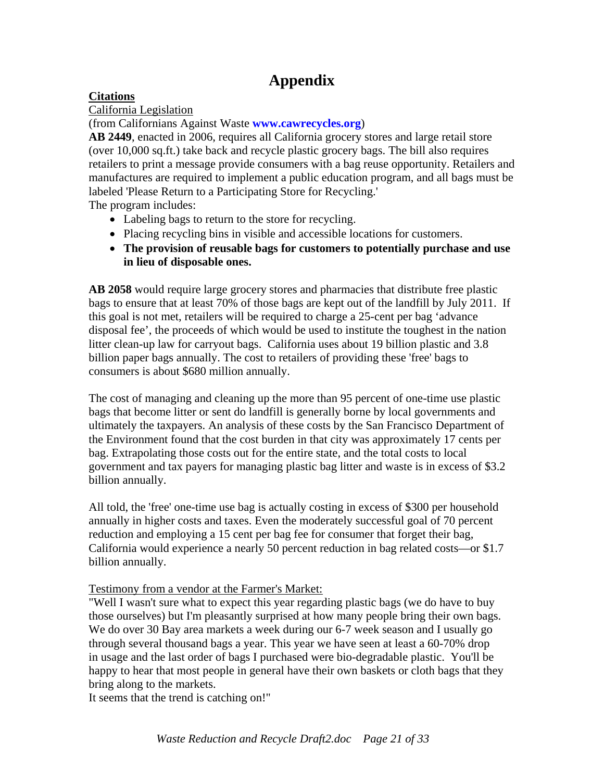## **Citations**

California Legislation

(from Californians Against Waste **[www.cawrecycles.org](http://www.cawrecycles.org/)**)

**AB 2449**, enacted in 2006, requires all California grocery stores and large retail store (over 10,000 sq.ft.) take back and recycle plastic grocery bags. The bill also requires retailers to print a message provide consumers with a bag reuse opportunity. Retailers and manufactures are required to implement a public education program, and all bags must be labeled 'Please Return to a Participating Store for Recycling.'

The program includes:

- Labeling bags to return to the store for recycling.
- Placing recycling bins in visible and accessible locations for customers.
- **The provision of reusable bags for customers to potentially purchase and use in lieu of disposable ones.**

**AB 2058** would require large grocery stores and pharmacies that distribute free plastic bags to ensure that at least 70% of those bags are kept out of the landfill by July 2011. If this goal is not met, retailers will be required to charge a 25-cent per bag 'advance disposal fee', the proceeds of which would be used to institute the toughest in the nation litter clean-up law for carryout bags. California uses about 19 billion plastic and 3.8 billion paper bags annually. The cost to retailers of providing these 'free' bags to consumers is about \$680 million annually.

The cost of managing and cleaning up the more than 95 percent of one-time use plastic bags that become litter or sent do landfill is generally borne by local governments and ultimately the taxpayers. An analysis of these costs by the San Francisco Department of the Environment found that the cost burden in that city was approximately 17 cents per bag. Extrapolating those costs out for the entire state, and the total costs to local government and tax payers for managing plastic bag litter and waste is in excess of \$3.2 billion annually.

All told, the 'free' one-time use bag is actually costing in excess of \$300 per household annually in higher costs and taxes. Even the moderately successful goal of 70 percent reduction and employing a 15 cent per bag fee for consumer that forget their bag, California would experience a nearly 50 percent reduction in bag related costs—or \$1.7 billion annually.

## [Testimony from a vendor at the Farmer's Market:](http://www.cawrecycles.org/)

["Well I wasn't sure what to expect this year regarding plastic bags \(we do have to buy](http://www.cawrecycles.org/)  [those ourselves\) but I'm pleasantly surprised at how many people bring their own bags.](http://www.cawrecycles.org/)  We do over 30 Bay area markets a week during our 6-7 week season and I usually go [through several thousand bags a year. This year we have seen at least a 60-70% drop](http://www.cawrecycles.org/)  [in usage and the last order of bags I purchased were bio-degradable plastic. You'll be](http://www.cawrecycles.org/)  [happy to hear that most people in general have their own baskets or cloth bags that they](http://www.cawrecycles.org/)  [bring along to the markets.](http://www.cawrecycles.org/) 

[It seems that the trend is catching on!"](http://www.cawrecycles.org/)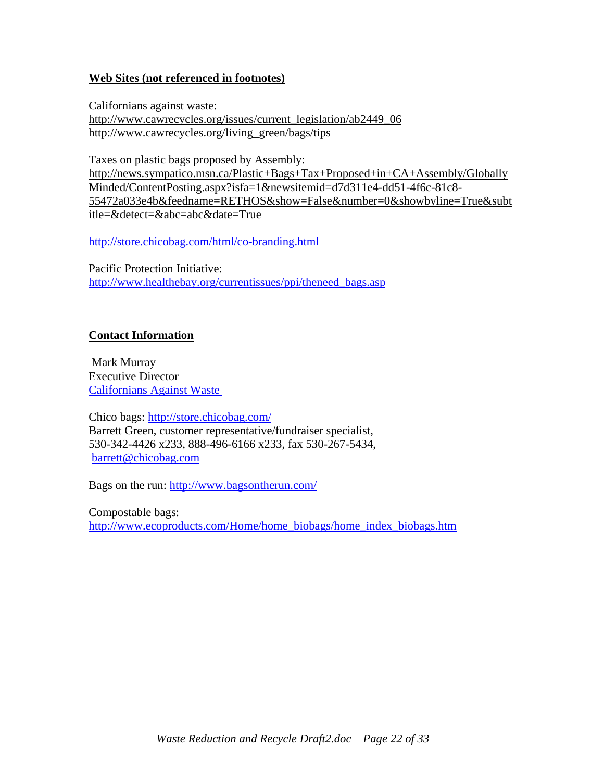#### **Web Sites (not referenced in footnotes)**

[Californians against waste:](http://www.cawrecycles.org/issues/current_legislation/ab2449_06)  [http://www.cawrecycles.org/issues/current\\_legislation/ab2449\\_06](http://www.cawrecycles.org/issues/current_legislation/ab2449_06) [http://www.cawrecycles.org/living\\_green/bags/tips](http://www.cawrecycles.org/living_green/bags/tips)

Taxes on plastic bags proposed by Assembly: [http://news.sympatico.msn.ca/Plastic+Bags+Tax+Proposed+in+CA+Assembly/Globally](http://news.sympatico.msn.ca/Plastic+Bags+Tax+Proposed+in+CA+Assembly/GloballyMinded/ContentPosting.aspx?isfa=1&newsitemid=d7d311e4-dd51-4f6c-81c8-55472a033e4b&feedname=RETHOS&show=False&number=0&showbyline=True&subtitle=&detect=&abc=abc&date=True) [Minded/ContentPosting.aspx?isfa=1&newsitemid=d7d311e4-dd51-4f6c-81c8-](http://news.sympatico.msn.ca/Plastic+Bags+Tax+Proposed+in+CA+Assembly/GloballyMinded/ContentPosting.aspx?isfa=1&newsitemid=d7d311e4-dd51-4f6c-81c8-55472a033e4b&feedname=RETHOS&show=False&number=0&showbyline=True&subtitle=&detect=&abc=abc&date=True) [55472a033e4b&feedname=RETHOS&show=False&number=0&showbyline=True&subt](http://news.sympatico.msn.ca/Plastic+Bags+Tax+Proposed+in+CA+Assembly/GloballyMinded/ContentPosting.aspx?isfa=1&newsitemid=d7d311e4-dd51-4f6c-81c8-55472a033e4b&feedname=RETHOS&show=False&number=0&showbyline=True&subtitle=&detect=&abc=abc&date=True) [itle=&detect=&abc=abc&date=True](http://news.sympatico.msn.ca/Plastic+Bags+Tax+Proposed+in+CA+Assembly/GloballyMinded/ContentPosting.aspx?isfa=1&newsitemid=d7d311e4-dd51-4f6c-81c8-55472a033e4b&feedname=RETHOS&show=False&number=0&showbyline=True&subtitle=&detect=&abc=abc&date=True)

<http://store.chicobag.com/html/co-branding.html>

Pacific Protection Initiative: [http://www.healthebay.org/currentissues/ppi/theneed\\_bags.asp](http://www.healthebay.org/currentissues/ppi/theneed_bags.asp)

#### **Contact Information**

 Mark Murray Executive Director [Californians Against Waste](http://www.cawrecycles.org/) 

Chico bags:<http://store.chicobag.com/> Barrett Green, customer representative/fundraiser specialist, 530-342-4426 x233, 888-496-6166 x233, fax 530-267-5434, [barrett@chicobag.com](mailto:barrett@chicobag.com)

Bags on the run:<http://www.bagsontherun.com/>

Compostable bags: [http://www.ecoproducts.com/Home/home\\_biobags/home\\_index\\_biobags.htm](http://www.ecoproducts.com/Home/home_biobags/home_index_biobags.htm)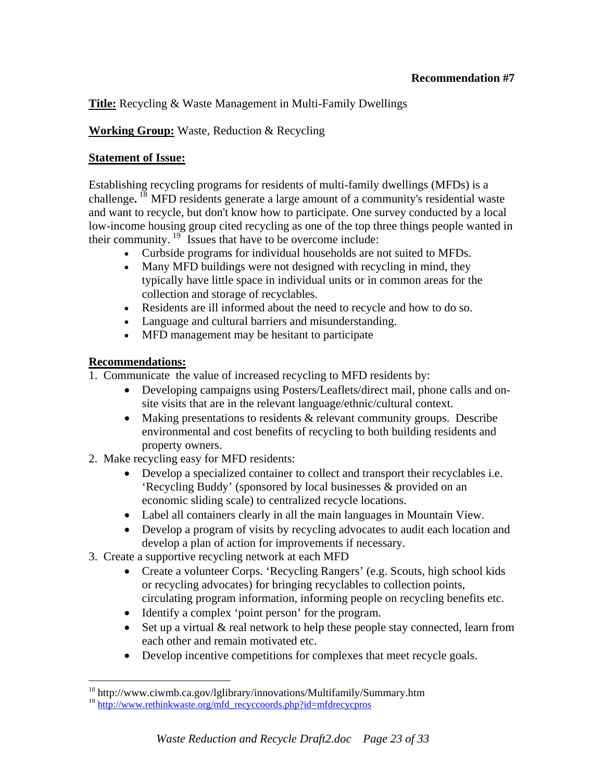## **Title:** Recycling & Waste Management in Multi-Family Dwellings

## **Working Group:** Waste, Reduction & Recycling

#### **Statement of Issue:**

Establishing recycling programs for residents of multi-family dwellings (MFDs) is a challenge**.** [18](#page-22-0) MFD residents generate a large amount of a community's residential waste and want to recycle, but don't know how to participate. One survey conducted by a local low-income housing group cited recycling as one of the top three things people wanted in their community.  $19$  Issues that have to be overcome include:

- Curbside programs for individual households are not suited to MFDs.
- Many MFD buildings were not designed with recycling in mind, they typically have little space in individual units or in common areas for the collection and storage of recyclables.
- Residents are ill informed about the need to recycle and how to do so.
- Language and cultural barriers and misunderstanding.
- MFD management may be hesitant to participate

## **Recommendations:**

 $\overline{a}$ 

1.Communicate the value of increased recycling to MFD residents by:

- Developing campaigns using Posters/Leaflets/direct mail, phone calls and onsite visits that are in the relevant language/ethnic/cultural context.
- Making presentations to residents & relevant community groups. Describe environmental and cost benefits of recycling to both building residents and property owners.
- 2. Make recycling easy for MFD residents:
	- Develop a specialized container to collect and transport their recyclables i.e. 'Recycling Buddy' (sponsored by local businesses & provided on an economic sliding scale) to centralized recycle locations.
	- Label all containers clearly in all the main languages in Mountain View.
	- Develop a program of visits by recycling advocates to audit each location and develop a plan of action for improvements if necessary.
- 3. Create a supportive recycling network at each MFD
	- Create a volunteer Corps. 'Recycling Rangers' (e.g. Scouts, high school kids or recycling advocates) for bringing recyclables to collection points, circulating program information, informing people on recycling benefits etc.
	- Identify a complex 'point person' for the program.
	- Set up a virtual & real network to help these people stay connected, learn from each other and remain motivated etc.
	- Develop incentive competitions for complexes that meet recycle goals.

<sup>18</sup> http://www.ciwmb.ca.gov/lglibrary/innovations/Multifamily/Summary.htm

<span id="page-22-1"></span><span id="page-22-0"></span><sup>&</sup>lt;sup>19</sup> http://www.rethinkwaste<u>.org/mfd\_recyccoords.php?id=mfdrecycpros</u>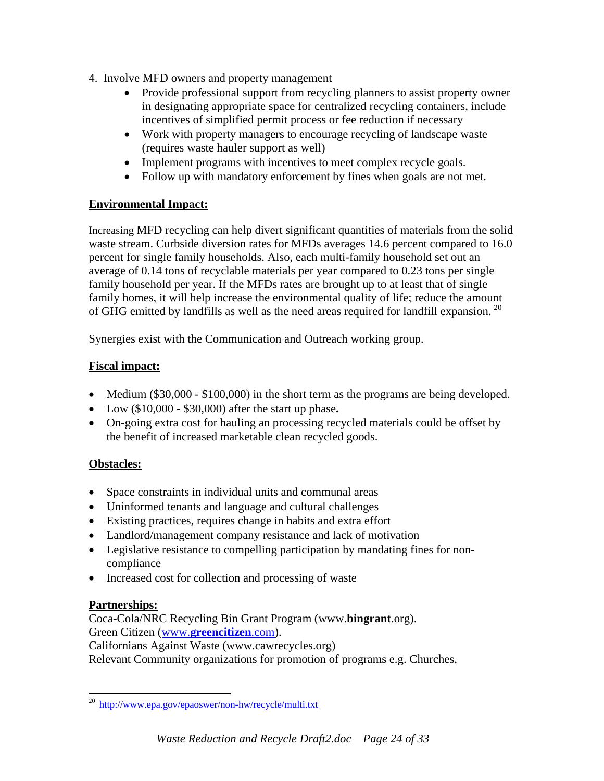- 4. Involve MFD owners and property management
	- Provide professional support from recycling planners to assist property owner in designating appropriate space for centralized recycling containers, include incentives of simplified permit process or fee reduction if necessary
	- Work with property managers to encourage recycling of landscape waste (requires waste hauler support as well)
	- Implement programs with incentives to meet complex recycle goals.
	- Follow up with mandatory enforcement by fines when goals are not met.

## **Environmental Impact:**

Increasing MFD recycling can help divert significant quantities of materials from the solid waste stream. Curbside diversion rates for MFDs averages 14.6 percent compared to 16.0 percent for single family households. Also, each multi-family household set out an average of 0.14 tons of recyclable materials per year compared to 0.23 tons per single family household per year. If the MFDs rates are brought up to at least that of single family homes, it will help increase the environmental quality of life; reduce the amount of GHG emitted by landfills as well as the need areas required for landfill expansion.<sup>[20](#page-23-0)</sup>

Synergies exist with the Communication and Outreach working group.

## **Fiscal impact:**

- Medium (\$30,000 \$100,000) in the short term as the programs are being developed.
- Low (\$10,000 \$30,000) after the start up phase**.**
- On-going extra cost for hauling an processing recycled materials could be offset by the benefit of increased marketable clean recycled goods.

## **Obstacles:**

- Space constraints in individual units and communal areas
- Uninformed tenants and language and cultural challenges
- Existing practices, requires change in habits and extra effort
- Landlord/management company resistance and lack of motivation
- Legislative resistance to compelling participation by mandating fines for noncompliance
- Increased cost for collection and processing of waste

## **Partnerships:**

Coca-Cola/NRC Recycling Bin Grant Program (www.**bingrant**.org). Green Citizen (www.**[greencitizen](http://www.greencitizen.com/)**.com).

Californians Against Waste (www.cawrecycles.org)

Relevant Community organizations for promotion of programs e.g. Churches,

<span id="page-23-0"></span> $\overline{a}$ <sup>20</sup> <http://www.epa.gov/epaoswer/non-hw/recycle/multi.txt>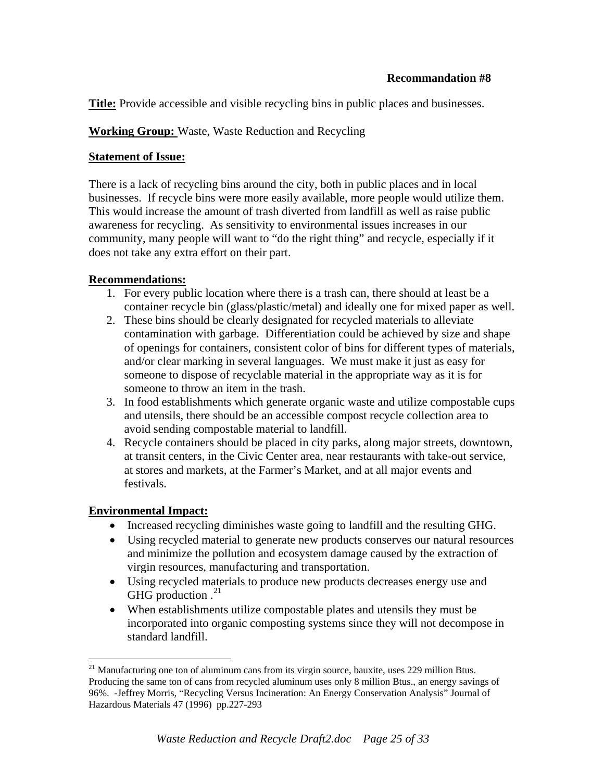**Title:** Provide accessible and visible recycling bins in public places and businesses.

## **Working Group:** Waste, Waste Reduction and Recycling

## **Statement of Issue:**

There is a lack of recycling bins around the city, both in public places and in local businesses. If recycle bins were more easily available, more people would utilize them. This would increase the amount of trash diverted from landfill as well as raise public awareness for recycling. As sensitivity to environmental issues increases in our community, many people will want to "do the right thing" and recycle, especially if it does not take any extra effort on their part.

## **Recommendations:**

- 1. For every public location where there is a trash can, there should at least be a container recycle bin (glass/plastic/metal) and ideally one for mixed paper as well.
- 2. These bins should be clearly designated for recycled materials to alleviate contamination with garbage. Differentiation could be achieved by size and shape of openings for containers, consistent color of bins for different types of materials, and/or clear marking in several languages. We must make it just as easy for someone to dispose of recyclable material in the appropriate way as it is for someone to throw an item in the trash.
- 3. In food establishments which generate organic waste and utilize compostable cups and utensils, there should be an accessible compost recycle collection area to avoid sending compostable material to landfill.
- 4. Recycle containers should be placed in city parks, along major streets, downtown, at transit centers, in the Civic Center area, near restaurants with take-out service, at stores and markets, at the Farmer's Market, and at all major events and festivals.

## **Environmental Impact:**

<u>.</u>

- Increased recycling diminishes waste going to landfill and the resulting GHG.
- Using recycled material to generate new products conserves our natural resources and minimize the pollution and ecosystem damage caused by the extraction of virgin resources, manufacturing and transportation.
- Using recycled materials to produce new products decreases energy use and GHG production  $.21$  $.21$
- When establishments utilize compostable plates and utensils they must be incorporated into organic composting systems since they will not decompose in standard landfill.

<span id="page-24-0"></span> $21$  Manufacturing one ton of aluminum cans from its virgin source, bauxite, uses 229 million Btus. Producing the same ton of cans from recycled aluminum uses only 8 million Btus., an energy savings of 96%. -Jeffrey Morris, "Recycling Versus Incineration: An Energy Conservation Analysis" Journal of Hazardous Materials 47 (1996) pp.227-293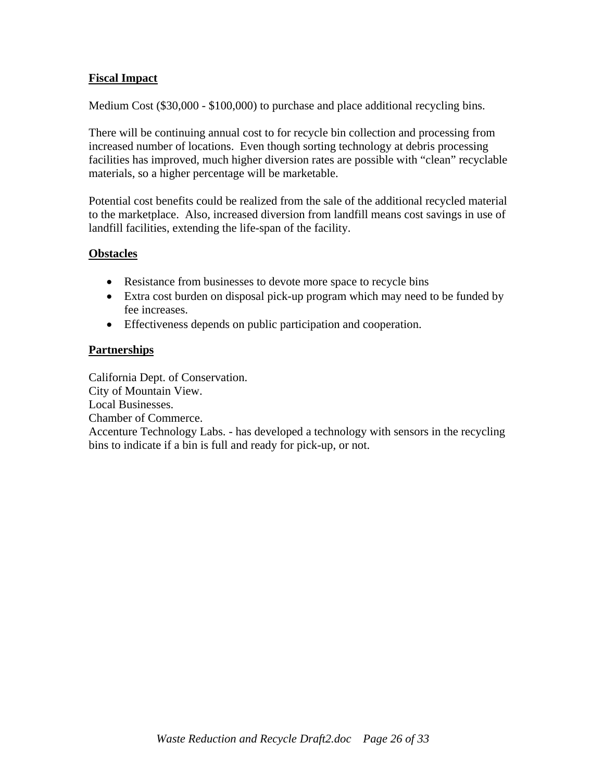#### **Fiscal Impact**

Medium Cost (\$30,000 - \$100,000) to purchase and place additional recycling bins.

There will be continuing annual cost to for recycle bin collection and processing from increased number of locations. Even though sorting technology at debris processing facilities has improved, much higher diversion rates are possible with "clean" recyclable materials, so a higher percentage will be marketable.

Potential cost benefits could be realized from the sale of the additional recycled material to the marketplace. Also, increased diversion from landfill means cost savings in use of landfill facilities, extending the life-span of the facility.

#### **Obstacles**

- Resistance from businesses to devote more space to recycle bins
- Extra cost burden on disposal pick-up program which may need to be funded by fee increases.
- Effectiveness depends on public participation and cooperation.

#### **Partnerships**

California Dept. of Conservation. City of Mountain View. Local Businesses. Chamber of Commerce. Accenture Technology Labs. - has developed a technology with sensors in the recycling bins to indicate if a bin is full and ready for pick-up, or not.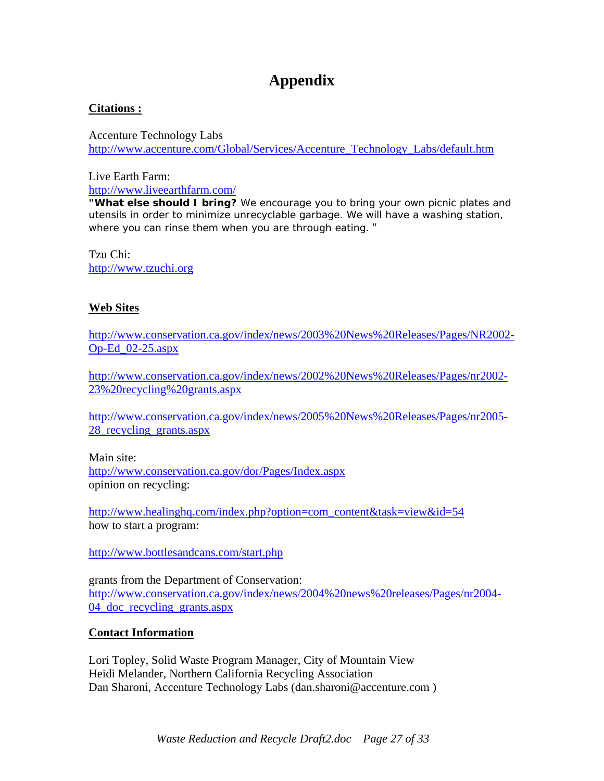#### **Citations :**

Accenture Technology Labs [http://www.accenture.com/Global/Services/Accenture\\_Technology\\_Labs/default.htm](http://www.accenture.com/Global/Services/Accenture_Technology_Labs/default.htm)

Live Earth Farm: <http://www.liveearthfarm.com/>

**"What else should I bring?** We encourage you to bring your own picnic plates and utensils in order to minimize unrecyclable garbage. We will have a washing station, where you can rinse them when you are through eating. "

Tzu Chi: [http://www.tzuchi.org](http://www.tzuchi.org/)

## **Web Sites**

[http://www.conservation.ca.gov/index/news/2003%20News%20Releases/Pages/NR2002-](http://www.conservation.ca.gov/index/news/2003%20News%20Releases/Pages/NR2002-Op-Ed_02-25.aspx) [Op-Ed\\_02-25.aspx](http://www.conservation.ca.gov/index/news/2003%20News%20Releases/Pages/NR2002-Op-Ed_02-25.aspx)

[http://www.conservation.ca.gov/index/news/2002%20News%20Releases/Pages/nr2002-](http://www.conservation.ca.gov/index/news/2002%20News%20Releases/Pages/nr2002-23%20recycling%20grants.aspx) [23%20recycling%20grants.aspx](http://www.conservation.ca.gov/index/news/2002%20News%20Releases/Pages/nr2002-23%20recycling%20grants.aspx)

[http://www.conservation.ca.gov/index/news/2005%20News%20Releases/Pages/nr2005-](http://www.conservation.ca.gov/index/news/2005%20News%20Releases/Pages/nr2005-28_recycling_grants.aspx) [28\\_recycling\\_grants.aspx](http://www.conservation.ca.gov/index/news/2005%20News%20Releases/Pages/nr2005-28_recycling_grants.aspx)

Main site: <http://www.conservation.ca.gov/dor/Pages/Index.aspx> opinion on recycling:

[http://www.healinghq.com/index.php?option=com\\_content&task=view&id=54](http://www.healinghq.com/index.php?option=com_content&task=view&id=54) how to start a program:

<http://www.bottlesandcans.com/start.php>

grants from the Department of Conservation: [http://www.conservation.ca.gov/index/news/2004%20news%20releases/Pages/nr2004-](http://www.conservation.ca.gov/index/news/2004%20news%20releases/Pages/nr2004-04_doc_recycling_grants.aspx) [04\\_doc\\_recycling\\_grants.aspx](http://www.conservation.ca.gov/index/news/2004%20news%20releases/Pages/nr2004-04_doc_recycling_grants.aspx)

## **Contact Information**

Lori Topley, Solid Waste Program Manager, City of Mountain View Heidi Melander, Northern California Recycling Association Dan Sharoni, Accenture Technology Labs (dan.sharoni@accenture.com )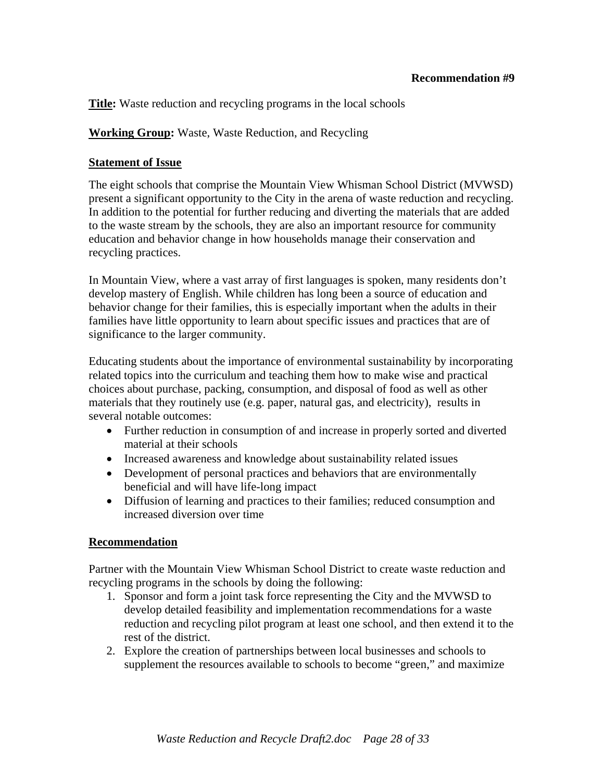**Title:** Waste reduction and recycling programs in the local schools

**Working Group:** Waste, Waste Reduction, and Recycling

## **Statement of Issue**

The eight schools that comprise the Mountain View Whisman School District (MVWSD) present a significant opportunity to the City in the arena of waste reduction and recycling. In addition to the potential for further reducing and diverting the materials that are added to the waste stream by the schools, they are also an important resource for community education and behavior change in how households manage their conservation and recycling practices.

In Mountain View, where a vast array of first languages is spoken, many residents don't develop mastery of English. While children has long been a source of education and behavior change for their families, this is especially important when the adults in their families have little opportunity to learn about specific issues and practices that are of significance to the larger community.

Educating students about the importance of environmental sustainability by incorporating related topics into the curriculum and teaching them how to make wise and practical choices about purchase, packing, consumption, and disposal of food as well as other materials that they routinely use (e.g. paper, natural gas, and electricity), results in several notable outcomes:

- Further reduction in consumption of and increase in properly sorted and diverted material at their schools
- Increased awareness and knowledge about sustainability related issues
- Development of personal practices and behaviors that are environmentally beneficial and will have life-long impact
- Diffusion of learning and practices to their families; reduced consumption and increased diversion over time

## **Recommendation**

Partner with the Mountain View Whisman School District to create waste reduction and recycling programs in the schools by doing the following:

- 1. Sponsor and form a joint task force representing the City and the MVWSD to develop detailed feasibility and implementation recommendations for a waste reduction and recycling pilot program at least one school, and then extend it to the rest of the district.
- 2. Explore the creation of partnerships between local businesses and schools to supplement the resources available to schools to become "green," and maximize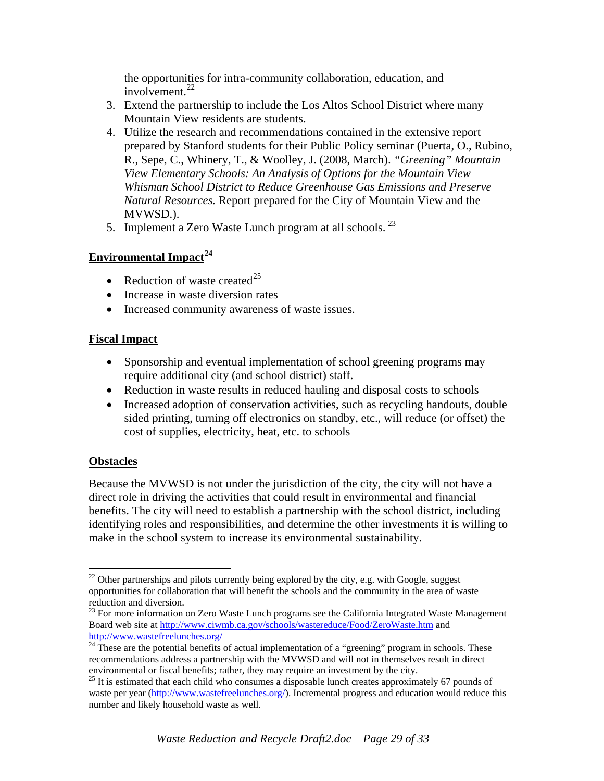the opportunities for intra-community collaboration, education, and involvement. $^{22}$ 

- 3. Extend the partnership to include the Los Altos School District where many Mountain View residents are students.
- 4. Utilize the research and recommendations contained in the extensive report prepared by Stanford students for their Public Policy seminar (Puerta, O., Rubino, R., Sepe, C., Whinery, T., & Woolley, J. (2008, March). *"Greening" Mountain View Elementary Schools: An Analysis of Options for the Mountain View Whisman School District to Reduce Greenhouse Gas Emissions and Preserve Natural Resources.* Report prepared for the City of Mountain View and the MVWSD.).
- 5. Implement a Zero Waste Lunch program at all schools.  $^{23}$  $^{23}$  $^{23}$

## **Environmental Impact[24](#page-28-1)**

- Reduction of waste created<sup>[25](#page-28-2)</sup>
- Increase in waste diversion rates
- Increased community awareness of waste issues.

## **Fiscal Impact**

- Sponsorship and eventual implementation of school greening programs may require additional city (and school district) staff.
- Reduction in waste results in reduced hauling and disposal costs to schools
- Increased adoption of conservation activities, such as recycling handouts, double sided printing, turning off electronics on standby, etc., will reduce (or offset) the cost of supplies, electricity, heat, etc. to schools

## **Obstacles**

 $\overline{a}$ 

Because the MVWSD is not under the jurisdiction of the city, the city will not have a direct role in driving the activities that could result in environmental and financial benefits. The city will need to establish a partnership with the school district, including identifying roles and responsibilities, and determine the other investments it is willing to make in the school system to increase its environmental sustainability.

 $22$  Other partnerships and pilots currently being explored by the city, e.g. with Google, suggest opportunities for collaboration that will benefit the schools and the community in the area of waste reduction and diversion.

<span id="page-28-0"></span><sup>&</sup>lt;sup>23</sup> For more information on Zero Waste Lunch programs see the California Integrated Waste Management Board web site at<http://www.ciwmb.ca.gov/schools/wastereduce/Food/ZeroWaste.htm> and http://www.wastefreelunches.org/

<span id="page-28-1"></span> $\frac{1}{24}$  $\frac{1}{24}$  $\frac{1}{24}$  These are the potential benefits of actual implementation of a "greening" program in schools. These recommendations address a partnership with the MVWSD and will not in themselves result in direct environmental or fiscal benefits; rather, they may require an investment by the city.

<span id="page-28-2"></span><sup>&</sup>lt;sup>25</sup> It is estimated that each child who consumes a disposable lunch creates approximately 67 pounds of waste per year (<http://www.wastefreelunches.org/>). Incremental progress and education would reduce this number and likely household waste as well.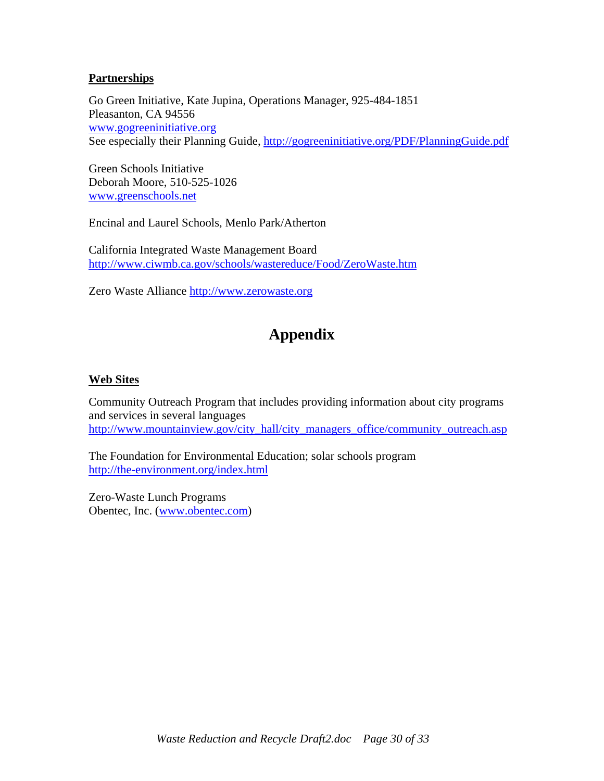#### **Partnerships**

Go Green Initiative, Kate Jupina, Operations Manager, 925-484-1851 Pleasanton, CA 94556 [www.gogreeninitiative.org](http://www.gogreeninitiative.org/) See especially their Planning Guide, http://gogreeninitiative.org/PDF/PlanningGuide.pdf

Green Schools Initiative Deborah Moore, 510-525-1026 [www.greenschools.net](http://www.greenschools.net/)

Encinal and Laurel Schools, Menlo Park/Atherton

California Integrated Waste Management Board <http://www.ciwmb.ca.gov/schools/wastereduce/Food/ZeroWaste.htm>

Zero Waste Alliance [http://www.zerowaste.org](http://www.zerowaste.org/) 

# **Appendix**

#### **Web Sites**

Community Outreach Program that includes providing information about city programs and services in several languages [http://www.mountainview.gov/city\\_hall/city\\_managers\\_office/community\\_outreach.asp](http://www.mountainview.gov/city_hall/city_managers_office/community_outreach.asp)

The Foundation for Environmental Education; solar schools program <http://the-environment.org/index.html>

Zero-Waste Lunch Programs Obentec, Inc. [\(www.obentec.com](http://www.obentec.com/))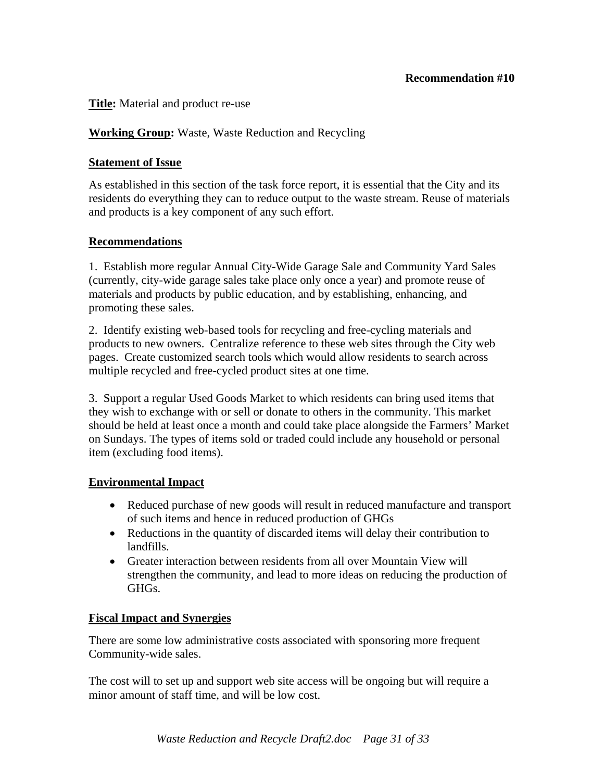#### **Title:** Material and product re-use

## **Working Group:** Waste, Waste Reduction and Recycling

#### **Statement of Issue**

As established in this section of the task force report, it is essential that the City and its residents do everything they can to reduce output to the waste stream. Reuse of materials and products is a key component of any such effort.

#### **Recommendations**

1. Establish more regular Annual City-Wide Garage Sale and Community Yard Sales (currently, city-wide garage sales take place only once a year) and promote reuse of materials and products by public education, and by establishing, enhancing, and promoting these sales.

2. Identify existing web-based tools for recycling and free-cycling materials and products to new owners. Centralize reference to these web sites through the City web pages. Create customized search tools which would allow residents to search across multiple recycled and free-cycled product sites at one time.

3. Support a regular Used Goods Market to which residents can bring used items that they wish to exchange with or sell or donate to others in the community. This market should be held at least once a month and could take place alongside the Farmers' Market on Sundays. The types of items sold or traded could include any household or personal item (excluding food items).

## **Environmental Impact**

- Reduced purchase of new goods will result in reduced manufacture and transport of such items and hence in reduced production of GHGs
- Reductions in the quantity of discarded items will delay their contribution to landfills.
- Greater interaction between residents from all over Mountain View will strengthen the community, and lead to more ideas on reducing the production of GHGs.

#### **Fiscal Impact and Synergies**

There are some low administrative costs associated with sponsoring more frequent Community-wide sales.

The cost will to set up and support web site access will be ongoing but will require a minor amount of staff time, and will be low cost.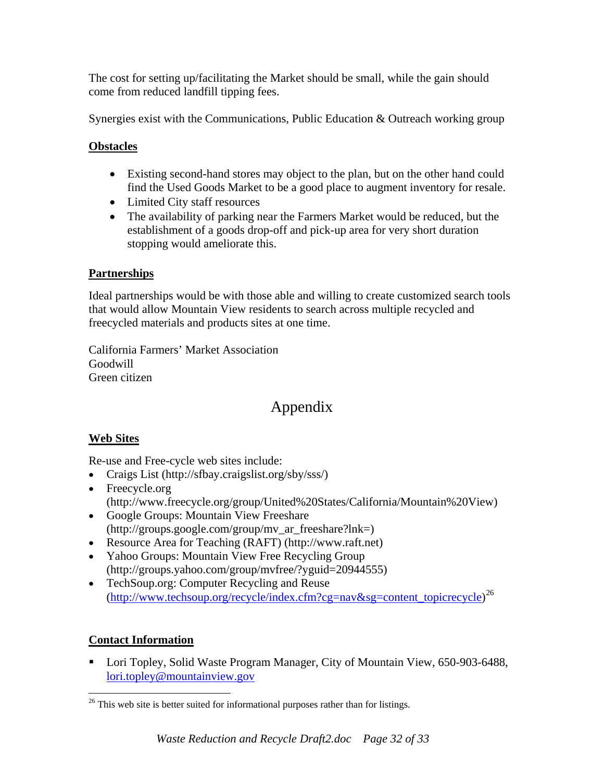The cost for setting up/facilitating the Market should be small, while the gain should come from reduced landfill tipping fees.

Synergies exist with the Communications, Public Education & Outreach working group

## **Obstacles**

- Existing second-hand stores may object to the plan, but on the other hand could find the Used Goods Market to be a good place to augment inventory for resale.
- Limited City staff resources
- The availability of parking near the Farmers Market would be reduced, but the establishment of a goods drop-off and pick-up area for very short duration stopping would ameliorate this.

## **Partnerships**

Ideal partnerships would be with those able and willing to create customized search tools that would allow Mountain View residents to search across multiple recycled and freecycled materials and products sites at one time.

California Farmers' Market Association Goodwill Green citizen

# Appendix

## **Web Sites**

Re-use and Free-cycle web sites include:

- Craigs List (http://sfbay.craigslist.org/sby/sss/)
- Freecycle.org (http://www.freecycle.org/group/United%20States/California/Mountain%20View)
- Google Groups: Mountain View Freeshare (http://groups.google.com/group/mv\_ar\_freeshare?lnk=)
- Resource Area for Teaching (RAFT) (http://www.raft.net)
- Yahoo Groups: Mountain View Free Recycling Group (http://groups.yahoo.com/group/mvfree/?yguid=20944555)
- TechSoup.org: Computer Recycling and Reuse ([http://www.techsoup.org/recycle/index.cfm?cg=nav&sg=content\\_topicrecycle](http://www.techsoup.org/recycle/index.cfm?cg=nav&sg=content_topicrecycle)) [26](#page-31-0)

## **Contact Information**

■ Lori Topley, Solid Waste Program Manager, City of Mountain View, 650-903-6488, [lori.topley@mountainview.gov](mailto:lori.topley@mountainview.gov)

<span id="page-31-0"></span><sup>&</sup>lt;u>.</u>  $26$  This web site is better suited for informational purposes rather than for listings.